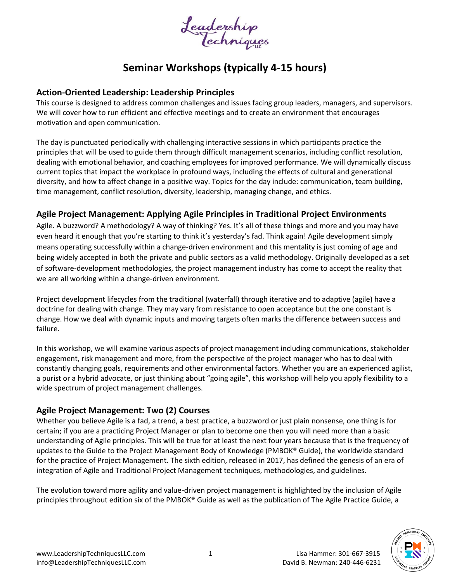

# **Seminar Workshops (typically 4-15 hours)**

#### **Action-Oriented Leadership: Leadership Principles**

This course is designed to address common challenges and issues facing group leaders, managers, and supervisors. We will cover how to run efficient and effective meetings and to create an environment that encourages motivation and open communication.

The day is punctuated periodically with challenging interactive sessions in which participants practice the principles that will be used to guide them through difficult management scenarios, including conflict resolution, dealing with emotional behavior, and coaching employees for improved performance. We will dynamically discuss current topics that impact the workplace in profound ways, including the effects of cultural and generational diversity, and how to affect change in a positive way. Topics for the day include: communication, team building, time management, conflict resolution, diversity, leadership, managing change, and ethics.

#### **Agile Project Management: Applying Agile Principles in Traditional Project Environments**

Agile. A buzzword? A methodology? A way of thinking? Yes. It's all of these things and more and you may have even heard it enough that you're starting to think it's yesterday's fad. Think again! Agile development simply means operating successfully within a change-driven environment and this mentality is just coming of age and being widely accepted in both the private and public sectors as a valid methodology. Originally developed as a set of software-development methodologies, the project management industry has come to accept the reality that we are all working within a change-driven environment.

Project development lifecycles from the traditional (waterfall) through iterative and to adaptive (agile) have a doctrine for dealing with change. They may vary from resistance to open acceptance but the one constant is change. How we deal with dynamic inputs and moving targets often marks the difference between success and failure.

In this workshop, we will examine various aspects of project management including communications, stakeholder engagement, risk management and more, from the perspective of the project manager who has to deal with constantly changing goals, requirements and other environmental factors. Whether you are an experienced agilist, a purist or a hybrid advocate, or just thinking about "going agile", this workshop will help you apply flexibility to a wide spectrum of project management challenges.

#### **Agile Project Management: Two (2) Courses**

Whether you believe Agile is a fad, a trend, a best practice, a buzzword or just plain nonsense, one thing is for certain; if you are a practicing Project Manager or plan to become one then you will need more than a basic understanding of Agile principles. This will be true for at least the next four years because that is the frequency of updates to the Guide to the Project Management Body of Knowledge (PMBOK® Guide), the worldwide standard for the practice of Project Management. The sixth edition, released in 2017, has defined the genesis of an era of integration of Agile and Traditional Project Management techniques, methodologies, and guidelines.

The evolution toward more agility and value-driven project management is highlighted by the inclusion of Agile principles throughout edition six of the PMBOK® Guide as well as the publication of The Agile Practice Guide, a

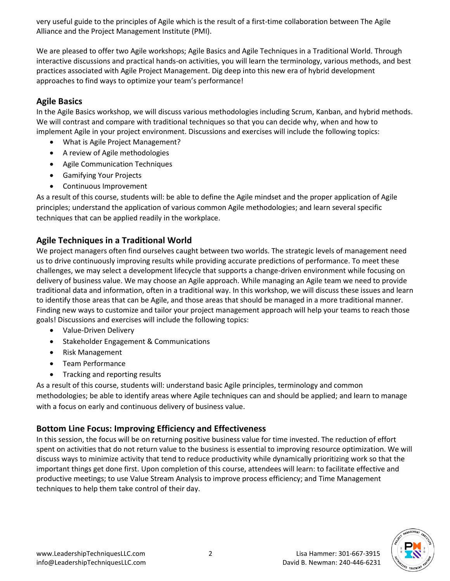very useful guide to the principles of Agile which is the result of a first-time collaboration between The Agile Alliance and the Project Management Institute (PMI).

We are pleased to offer two Agile workshops; Agile Basics and Agile Techniques in a Traditional World. Through interactive discussions and practical hands-on activities, you will learn the terminology, various methods, and best practices associated with Agile Project Management. Dig deep into this new era of hybrid development approaches to find ways to optimize your team's performance!

#### **Agile Basics**

In the Agile Basics workshop, we will discuss various methodologies including Scrum, Kanban, and hybrid methods. We will contrast and compare with traditional techniques so that you can decide why, when and how to implement Agile in your project environment. Discussions and exercises will include the following topics:

- What is Agile Project Management?
- A review of Agile methodologies
- Agile Communication Techniques
- Gamifying Your Projects
- Continuous Improvement

As a result of this course, students will: be able to define the Agile mindset and the proper application of Agile principles; understand the application of various common Agile methodologies; and learn several specific techniques that can be applied readily in the workplace.

### **Agile Techniques in a Traditional World**

We project managers often find ourselves caught between two worlds. The strategic levels of management need us to drive continuously improving results while providing accurate predictions of performance. To meet these challenges, we may select a development lifecycle that supports a change-driven environment while focusing on delivery of business value. We may choose an Agile approach. While managing an Agile team we need to provide traditional data and information, often in a traditional way. In this workshop, we will discuss these issues and learn to identify those areas that can be Agile, and those areas that should be managed in a more traditional manner. Finding new ways to customize and tailor your project management approach will help your teams to reach those goals! Discussions and exercises will include the following topics:

- Value-Driven Delivery
- Stakeholder Engagement & Communications
- Risk Management
- Team Performance
- Tracking and reporting results

As a result of this course, students will: understand basic Agile principles, terminology and common methodologies; be able to identify areas where Agile techniques can and should be applied; and learn to manage with a focus on early and continuous delivery of business value.

### **Bottom Line Focus: Improving Efficiency and Effectiveness**

In this session, the focus will be on returning positive business value for time invested. The reduction of effort spent on activities that do not return value to the business is essential to improving resource optimization. We will discuss ways to minimize activity that tend to reduce productivity while dynamically prioritizing work so that the important things get done first. Upon completion of this course, attendees will learn: to facilitate effective and productive meetings; to use Value Stream Analysis to improve process efficiency; and Time Management techniques to help them take control of their day.

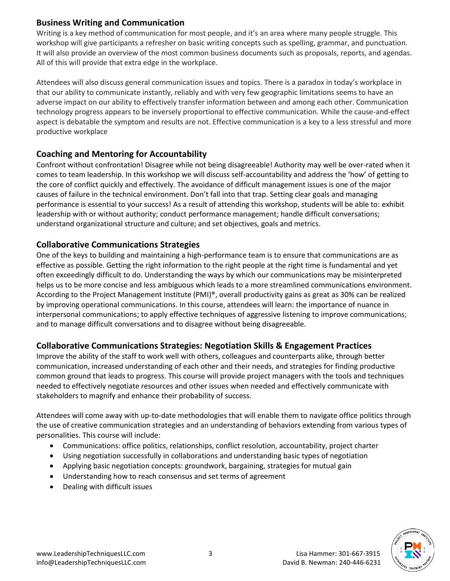#### **Business Writing and Communication**

Writing is a key method of communication for most people, and it's an area where many people struggle. This workshop will give participants a refresher on basic writing concepts such as spelling, grammar, and punctuation. It will also provide an overview of the most common business documents such as proposals, reports, and agendas. All of this will provide that extra edge in the workplace.

Attendees will also discuss general communication issues and topics. There is a paradox in today's workplace in that our ability to communicate instantly, reliably and with very few geographic limitations seems to have an adverse impact on our ability to effectively transfer information between and among each other. Communication technology progress appears to be inversely proportional to effective communication. While the cause-and-effect aspect is debatable the symptom and results are not. Effective communication is a key to a less stressful and more productive workplace

### **Coaching and Mentoring for Accountability**

Confront without confrontation! Disagree while not being disagreeable! Authority may well be over-rated when it comes to team leadership. In this workshop we will discuss self-accountability and address the 'how' of getting to the core of conflict quickly and effectively. The avoidance of difficult management issues is one of the major causes of failure in the technical environment. Don't fall into that trap. Setting clear goals and managing performance is essential to your success! As a result of attending this workshop, students will be able to: exhibit leadership with or without authority; conduct performance management; handle difficult conversations; understand organizational structure and culture; and set objectives, goals and metrics.

### **Collaborative Communications Strategies**

One of the keys to building and maintaining a high-performance team is to ensure that communications are as effective as possible. Getting the right information to the right people at the right time is fundamental and yet often exceedingly difficult to do. Understanding the ways by which our communications may be misinterpreted helps us to be more concise and less ambiguous which leads to a more streamlined communications environment. According to the Project Management Institute (PMI)®, overall productivity gains as great as 30% can be realized by improving operational communications. In this course, attendees will learn: the importance of nuance in interpersonal communications; to apply effective techniques of aggressive listening to improve communications; and to manage difficult conversations and to disagree without being disagreeable.

### **Collaborative Communications Strategies: Negotiation Skills & Engagement Practices**

Improve the ability of the staff to work well with others, colleagues and counterparts alike, through better communication, increased understanding of each other and their needs, and strategies for finding productive common ground that leads to progress. This course will provide project managers with the tools and techniques needed to effectively negotiate resources and other issues when needed and effectively communicate with stakeholders to magnify and enhance their probability of success.

Attendees will come away with up-to-date methodologies that will enable them to navigate office politics through the use of creative communication strategies and an understanding of behaviors extending from various types of personalities. This course will include:

- Communications: office politics, relationships, conflict resolution, accountability, project charter
- Using negotiation successfully in collaborations and understanding basic types of negotiation
- Applying basic negotiation concepts: groundwork, bargaining, strategies for mutual gain
- Understanding how to reach consensus and set terms of agreement
- Dealing with difficult issues

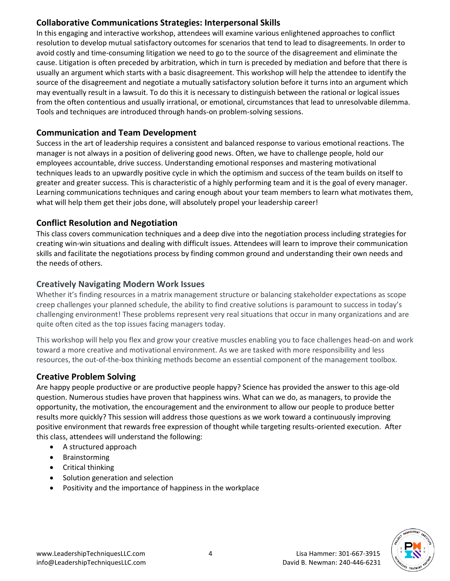### **Collaborative Communications Strategies: Interpersonal Skills**

In this engaging and interactive workshop, attendees will examine various enlightened approaches to conflict resolution to develop mutual satisfactory outcomes for scenarios that tend to lead to disagreements. In order to avoid costly and time-consuming litigation we need to go to the source of the disagreement and eliminate the cause. Litigation is often preceded by arbitration, which in turn is preceded by mediation and before that there is usually an argument which starts with a basic disagreement. This workshop will help the attendee to identify the source of the disagreement and negotiate a mutually satisfactory solution before it turns into an argument which may eventually result in a lawsuit. To do this it is necessary to distinguish between the rational or logical issues from the often contentious and usually irrational, or emotional, circumstances that lead to unresolvable dilemma. Tools and techniques are introduced through hands-on problem-solving sessions.

### **Communication and Team Development**

Success in the art of leadership requires a consistent and balanced response to various emotional reactions. The manager is not always in a position of delivering good news. Often, we have to challenge people, hold our employees accountable, drive success. Understanding emotional responses and mastering motivational techniques leads to an upwardly positive cycle in which the optimism and success of the team builds on itself to greater and greater success. This is characteristic of a highly performing team and it is the goal of every manager. Learning communications techniques and caring enough about your team members to learn what motivates them, what will help them get their jobs done, will absolutely propel your leadership career!

### **Conflict Resolution and Negotiation**

This class covers communication techniques and a deep dive into the negotiation process including strategies for creating win-win situations and dealing with difficult issues. Attendees will learn to improve their communication skills and facilitate the negotiations process by finding common ground and understanding their own needs and the needs of others.

### **Creatively Navigating Modern Work Issues**

Whether it's finding resources in a matrix management structure or balancing stakeholder expectations as scope creep challenges your planned schedule, the ability to find creative solutions is paramount to success in today's challenging environment! These problems represent very real situations that occur in many organizations and are quite often cited as the top issues facing managers today.

This workshop will help you flex and grow your creative muscles enabling you to face challenges head-on and work toward a more creative and motivational environment. As we are tasked with more responsibility and less resources, the out-of-the-box thinking methods become an essential component of the management toolbox.

### **Creative Problem Solving**

Are happy people productive or are productive people happy? Science has provided the answer to this age-old question. Numerous studies have proven that happiness wins. What can we do, as managers, to provide the opportunity, the motivation, the encouragement and the environment to allow our people to produce better results more quickly? This session will address those questions as we work toward a continuously improving positive environment that rewards free expression of thought while targeting results-oriented execution. After this class, attendees will understand the following:

- A structured approach
- Brainstorming
- Critical thinking
- Solution generation and selection
- Positivity and the importance of happiness in the workplace

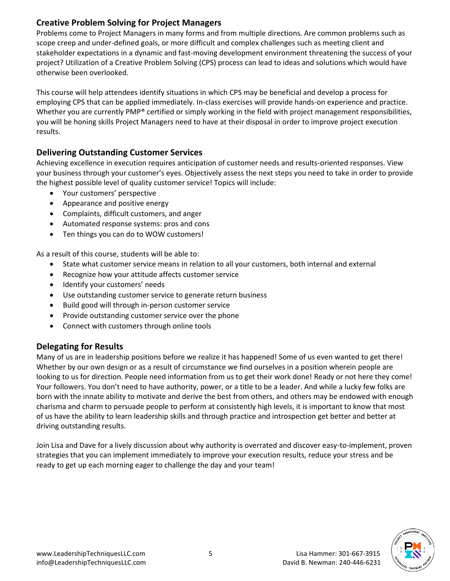### **Creative Problem Solving for Project Managers**

Problems come to Project Managers in many forms and from multiple directions. Are common problems such as scope creep and under-defined goals, or more difficult and complex challenges such as meeting client and stakeholder expectations in a dynamic and fast-moving development environment threatening the success of your project? Utilization of a Creative Problem Solving (CPS) process can lead to ideas and solutions which would have otherwise been overlooked.

This course will help attendees identify situations in which CPS may be beneficial and develop a process for employing CPS that can be applied immediately. In-class exercises will provide hands-on experience and practice. Whether you are currently PMP<sup>®</sup> certified or simply working in the field with project management responsibilities, you will be honing skills Project Managers need to have at their disposal in order to improve project execution results.

### **Delivering Outstanding Customer Services**

Achieving excellence in execution requires anticipation of customer needs and results-oriented responses. View your business through your customer's eyes. Objectively assess the next steps you need to take in order to provide the highest possible level of quality customer service! Topics will include:

- Your customers' perspective
- Appearance and positive energy
- Complaints, difficult customers, and anger
- Automated response systems: pros and cons
- Ten things you can do to WOW customers!

As a result of this course, students will be able to:

- State what customer service means in relation to all your customers, both internal and external
- Recognize how your attitude affects customer service
- Identify your customers' needs
- Use outstanding customer service to generate return business
- Build good will through in-person customer service
- Provide outstanding customer service over the phone
- Connect with customers through online tools

# **Delegating for Results**

Many of us are in leadership positions before we realize it has happened! Some of us even wanted to get there! Whether by our own design or as a result of circumstance we find ourselves in a position wherein people are looking to us for direction. People need information from us to get their work done! Ready or not here they come! Your followers. You don't need to have authority, power, or a title to be a leader. And while a lucky few folks are born with the innate ability to motivate and derive the best from others, and others may be endowed with enough charisma and charm to persuade people to perform at consistently high levels, it is important to know that most of us have the ability to learn leadership skills and through practice and introspection get better and better at driving outstanding results.

Join Lisa and Dave for a lively discussion about why authority is overrated and discover easy-to-implement, proven strategies that you can implement immediately to improve your execution results, reduce your stress and be ready to get up each morning eager to challenge the day and your team!

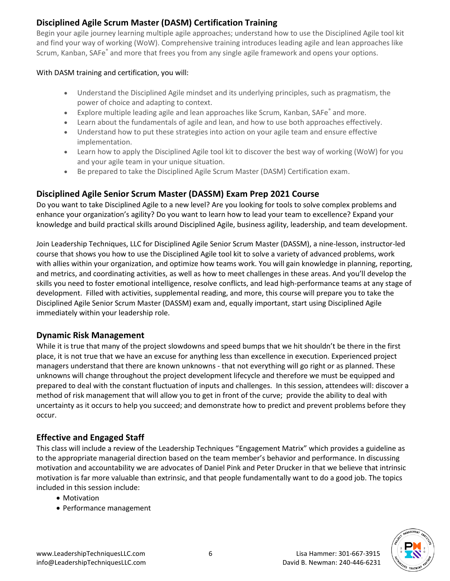# **Disciplined Agile Scrum Master (DASM) Certification Training**

Begin your agile journey learning multiple agile approaches; understand how to use the Disciplined Agile tool kit and find your way of working (WoW). Comprehensive training introduces leading agile and lean approaches like Scrum, Kanban, SAFe® and more that frees you from any single agile framework and opens your options.

#### With DASM training and certification, you will:

- Understand the Disciplined Agile mindset and its underlying principles, such as pragmatism, the power of choice and adapting to context.
- Explore multiple leading agile and lean approaches like Scrum, Kanban, SAFe® and more.
- Learn about the fundamentals of agile and lean, and how to use both approaches effectively.
- Understand how to put these strategies into action on your agile team and ensure effective implementation.
- Learn how to apply the Disciplined Agile tool kit to discover the best way of working (WoW) for you and your agile team in your unique situation.
- Be prepared to take the Disciplined Agile Scrum Master (DASM) Certification exam.

### **Disciplined Agile Senior Scrum Master (DASSM) Exam Prep 2021 Course**

Do you want to take Disciplined Agile to a new level? Are you looking for tools to solve complex problems and enhance your organization's agility? Do you want to learn how to lead your team to excellence? Expand your knowledge and build practical skills around Disciplined Agile, business agility, leadership, and team development.

Join Leadership Techniques, LLC for Disciplined Agile Senior Scrum Master (DASSM), a nine-lesson, instructor-led course that shows you how to use the Disciplined Agile tool kit to solve a variety of advanced problems, work with allies within your organization, and optimize how teams work. You will gain knowledge in planning, reporting, and metrics, and coordinating activities, as well as how to meet challenges in these areas. And you'll develop the skills you need to foster emotional intelligence, resolve conflicts, and lead high-performance teams at any stage of development. Filled with activities, supplemental reading, and more, this course will prepare you to take the Disciplined Agile Senior Scrum Master (DASSM) exam and, equally important, start using Disciplined Agile immediately within your leadership role.

#### **Dynamic Risk Management**

While it is true that many of the project slowdowns and speed bumps that we hit shouldn't be there in the first place, it is not true that we have an excuse for anything less than excellence in execution. Experienced project managers understand that there are known unknowns - that not everything will go right or as planned. These unknowns will change throughout the project development lifecycle and therefore we must be equipped and prepared to deal with the constant fluctuation of inputs and challenges. In this session, attendees will: discover a method of risk management that will allow you to get in front of the curve; provide the ability to deal with uncertainty as it occurs to help you succeed; and demonstrate how to predict and prevent problems before they occur.

### **Effective and Engaged Staff**

This class will include a review of the Leadership Techniques "Engagement Matrix" which provides a guideline as to the appropriate managerial direction based on the team member's behavior and performance. In discussing motivation and accountability we are advocates of Daniel Pink and Peter Drucker in that we believe that intrinsic motivation is far more valuable than extrinsic, and that people fundamentally want to do a good job. The topics included in this session include:

- Motivation
- Performance management

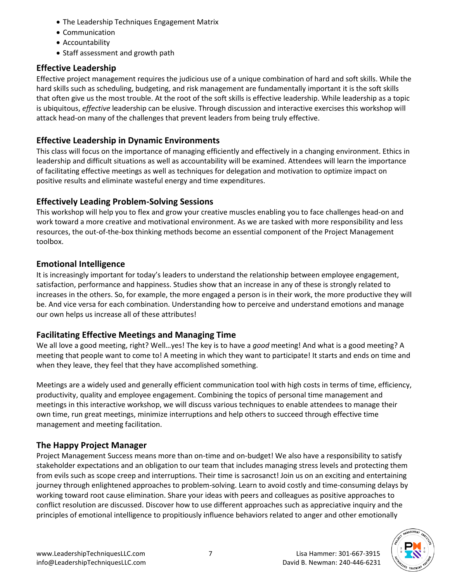- The Leadership Techniques Engagement Matrix
- Communication
- Accountability
- Staff assessment and growth path

# **Effective Leadership**

Effective project management requires the judicious use of a unique combination of hard and soft skills. While the hard skills such as scheduling, budgeting, and risk management are fundamentally important it is the soft skills that often give us the most trouble. At the root of the soft skills is effective leadership. While leadership as a topic is ubiquitous, *effective* leadership can be elusive. Through discussion and interactive exercises this workshop will attack head-on many of the challenges that prevent leaders from being truly effective.

# **Effective Leadership in Dynamic Environments**

This class will focus on the importance of managing efficiently and effectively in a changing environment. Ethics in leadership and difficult situations as well as accountability will be examined. Attendees will learn the importance of facilitating effective meetings as well as techniques for delegation and motivation to optimize impact on positive results and eliminate wasteful energy and time expenditures.

# **Effectively Leading Problem-Solving Sessions**

This workshop will help you to flex and grow your creative muscles enabling you to face challenges head-on and work toward a more creative and motivational environment. As we are tasked with more responsibility and less resources, the out-of-the-box thinking methods become an essential component of the Project Management toolbox.

# **Emotional Intelligence**

It is increasingly important for today's leaders to understand the relationship between employee engagement, satisfaction, performance and happiness. Studies show that an increase in any of these is strongly related to increases in the others. So, for example, the more engaged a person is in their work, the more productive they will be. And vice versa for each combination. Understanding how to perceive and understand emotions and manage our own helps us increase all of these attributes!

# **Facilitating Effective Meetings and Managing Time**

We all love a good meeting, right? Well…yes! The key is to have a *good* meeting! And what is a good meeting? A meeting that people want to come to! A meeting in which they want to participate! It starts and ends on time and when they leave, they feel that they have accomplished something.

Meetings are a widely used and generally efficient communication tool with high costs in terms of time, efficiency, productivity, quality and employee engagement. Combining the topics of personal time management and meetings in this interactive workshop, we will discuss various techniques to enable attendees to manage their own time, run great meetings, minimize interruptions and help others to succeed through effective time management and meeting facilitation.

# **The Happy Project Manager**

Project Management Success means more than on-time and on-budget! We also have a responsibility to satisfy stakeholder expectations and an obligation to our team that includes managing stress levels and protecting them from evils such as scope creep and interruptions. Their time is sacrosanct! Join us on an exciting and entertaining journey through enlightened approaches to problem-solving. Learn to avoid costly and time-consuming delays by working toward root cause elimination. Share your ideas with peers and colleagues as positive approaches to conflict resolution are discussed. Discover how to use different approaches such as appreciative inquiry and the principles of emotional intelligence to propitiously influence behaviors related to anger and other emotionally

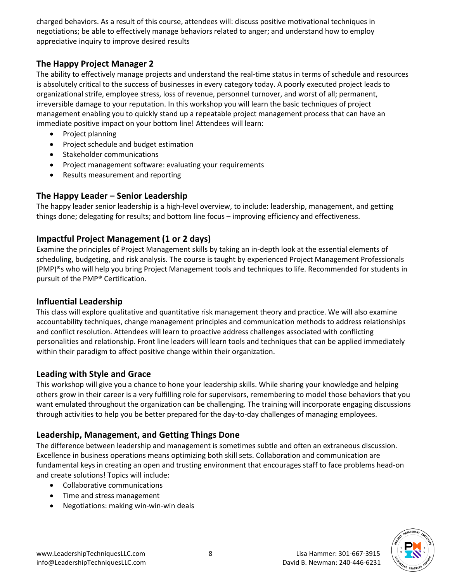charged behaviors. As a result of this course, attendees will: discuss positive motivational techniques in negotiations; be able to effectively manage behaviors related to anger; and understand how to employ appreciative inquiry to improve desired results

### **The Happy Project Manager 2**

The ability to effectively manage projects and understand the real-time status in terms of schedule and resources is absolutely critical to the success of businesses in every category today. A poorly executed project leads to organizational strife, employee stress, loss of revenue, personnel turnover, and worst of all; permanent, irreversible damage to your reputation. In this workshop you will learn the basic techniques of project management enabling you to quickly stand up a repeatable project management process that can have an immediate positive impact on your bottom line! Attendees will learn:

- Project planning
- Project schedule and budget estimation
- Stakeholder communications
- Project management software: evaluating your requirements
- Results measurement and reporting

### **The Happy Leader – Senior Leadership**

The happy leader senior leadership is a high-level overview, to include: leadership, management, and getting things done; delegating for results; and bottom line focus – improving efficiency and effectiveness.

### **Impactful Project Management (1 or 2 days)**

Examine the principles of Project Management skills by taking an in-depth look at the essential elements of scheduling, budgeting, and risk analysis. The course is taught by experienced Project Management Professionals (PMP)®s who will help you bring Project Management tools and techniques to life. Recommended for students in pursuit of the PMP® Certification.

#### **Influential Leadership**

This class will explore qualitative and quantitative risk management theory and practice. We will also examine accountability techniques, change management principles and communication methods to address relationships and conflict resolution. Attendees will learn to proactive address challenges associated with conflicting personalities and relationship. Front line leaders will learn tools and techniques that can be applied immediately within their paradigm to affect positive change within their organization.

#### **Leading with Style and Grace**

This workshop will give you a chance to hone your leadership skills. While sharing your knowledge and helping others grow in their career is a very fulfilling role for supervisors, remembering to model those behaviors that you want emulated throughout the organization can be challenging. The training will incorporate engaging discussions through activities to help you be better prepared for the day-to-day challenges of managing employees.

### **Leadership, Management, and Getting Things Done**

The difference between leadership and management is sometimes subtle and often an extraneous discussion. Excellence in business operations means optimizing both skill sets. Collaboration and communication are fundamental keys in creating an open and trusting environment that encourages staff to face problems head-on and create solutions! Topics will include:

- Collaborative communications
- Time and stress management
- Negotiations: making win-win-win deals

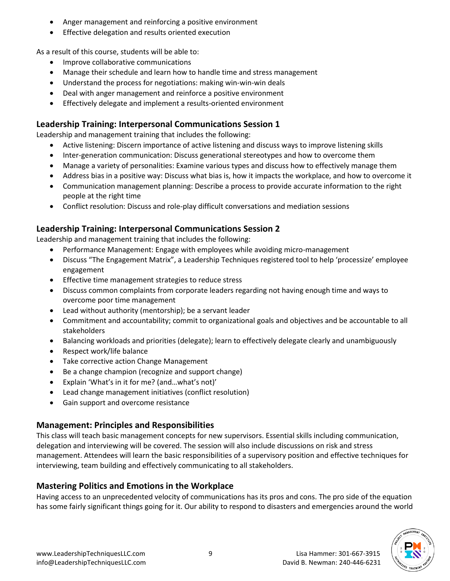- Anger management and reinforcing a positive environment
- Effective delegation and results oriented execution

As a result of this course, students will be able to:

- Improve collaborative communications
- Manage their schedule and learn how to handle time and stress management
- Understand the process for negotiations: making win-win-win deals
- Deal with anger management and reinforce a positive environment
- Effectively delegate and implement a results-oriented environment

# **Leadership Training: Interpersonal Communications Session 1**

Leadership and management training that includes the following:

- Active listening: Discern importance of active listening and discuss ways to improve listening skills
- Inter-generation communication: Discuss generational stereotypes and how to overcome them
- Manage a variety of personalities: Examine various types and discuss how to effectively manage them
- Address bias in a positive way: Discuss what bias is, how it impacts the workplace, and how to overcome it
- Communication management planning: Describe a process to provide accurate information to the right people at the right time
- Conflict resolution: Discuss and role-play difficult conversations and mediation sessions

# **Leadership Training: Interpersonal Communications Session 2**

Leadership and management training that includes the following:

- Performance Management: Engage with employees while avoiding micro-management
- Discuss "The Engagement Matrix", a Leadership Techniques registered tool to help 'processize' employee engagement
- Effective time management strategies to reduce stress
- Discuss common complaints from corporate leaders regarding not having enough time and ways to overcome poor time management
- Lead without authority (mentorship); be a servant leader
- Commitment and accountability; commit to organizational goals and objectives and be accountable to all stakeholders
- Balancing workloads and priorities (delegate); learn to effectively delegate clearly and unambiguously
- Respect work/life balance
- Take corrective action Change Management
- Be a change champion (recognize and support change)
- Explain 'What's in it for me? (and…what's not)'
- Lead change management initiatives (conflict resolution)
- Gain support and overcome resistance

# **Management: Principles and Responsibilities**

This class will teach basic management concepts for new supervisors. Essential skills including communication, delegation and interviewing will be covered. The session will also include discussions on risk and stress management. Attendees will learn the basic responsibilities of a supervisory position and effective techniques for interviewing, team building and effectively communicating to all stakeholders.

# **Mastering Politics and Emotions in the Workplace**

Having access to an unprecedented velocity of communications has its pros and cons. The pro side of the equation has some fairly significant things going for it. Our ability to respond to disasters and emergencies around the world

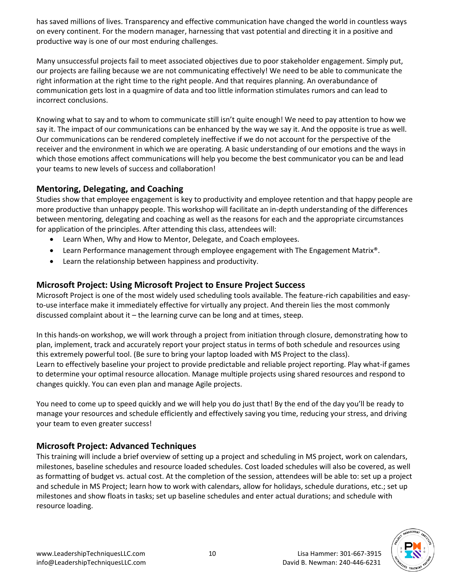has saved millions of lives. Transparency and effective communication have changed the world in countless ways on every continent. For the modern manager, harnessing that vast potential and directing it in a positive and productive way is one of our most enduring challenges.

Many unsuccessful projects fail to meet associated objectives due to poor stakeholder engagement. Simply put, our projects are failing because we are not communicating effectively! We need to be able to communicate the right information at the right time to the right people. And that requires planning. An overabundance of communication gets lost in a quagmire of data and too little information stimulates rumors and can lead to incorrect conclusions.

Knowing what to say and to whom to communicate still isn't quite enough! We need to pay attention to how we say it. The impact of our communications can be enhanced by the way we say it. And the opposite is true as well. Our communications can be rendered completely ineffective if we do not account for the perspective of the receiver and the environment in which we are operating. A basic understanding of our emotions and the ways in which those emotions affect communications will help you become the best communicator you can be and lead your teams to new levels of success and collaboration!

### **Mentoring, Delegating, and Coaching**

Studies show that employee engagement is key to productivity and employee retention and that happy people are more productive than unhappy people. This workshop will facilitate an in-depth understanding of the differences between mentoring, delegating and coaching as well as the reasons for each and the appropriate circumstances for application of the principles. After attending this class, attendees will:

- Learn When, Why and How to Mentor, Delegate, and Coach employees.
- Learn Performance management through employee engagement with The Engagement Matrix®.
- Learn the relationship between happiness and productivity.

### **Microsoft Project: Using Microsoft Project to Ensure Project Success**

Microsoft Project is one of the most widely used scheduling tools available. The feature-rich capabilities and easyto-use interface make it immediately effective for virtually any project. And therein lies the most commonly discussed complaint about it – the learning curve can be long and at times, steep.

In this hands-on workshop, we will work through a project from initiation through closure, demonstrating how to plan, implement, track and accurately report your project status in terms of both schedule and resources using this extremely powerful tool. (Be sure to bring your laptop loaded with MS Project to the class). Learn to effectively baseline your project to provide predictable and reliable project reporting. Play what-if games to determine your optimal resource allocation. Manage multiple projects using shared resources and respond to changes quickly. You can even plan and manage Agile projects.

You need to come up to speed quickly and we will help you do just that! By the end of the day you'll be ready to manage your resources and schedule efficiently and effectively saving you time, reducing your stress, and driving your team to even greater success!

### **Microsoft Project: Advanced Techniques**

This training will include a brief overview of setting up a project and scheduling in MS project, work on calendars, milestones, baseline schedules and resource loaded schedules. Cost loaded schedules will also be covered, as well as formatting of budget vs. actual cost. At the completion of the session, attendees will be able to: set up a project and schedule in MS Project; learn how to work with calendars, allow for holidays, schedule durations, etc.; set up milestones and show floats in tasks; set up baseline schedules and enter actual durations; and schedule with resource loading.

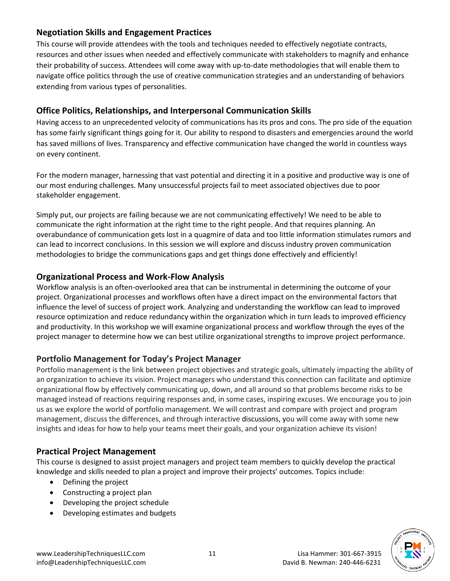### **Negotiation Skills and Engagement Practices**

This course will provide attendees with the tools and techniques needed to effectively negotiate contracts, resources and other issues when needed and effectively communicate with stakeholders to magnify and enhance their probability of success. Attendees will come away with up-to-date methodologies that will enable them to navigate office politics through the use of creative communication strategies and an understanding of behaviors extending from various types of personalities.

# **Office Politics, Relationships, and Interpersonal Communication Skills**

Having access to an unprecedented velocity of communications has its pros and cons. The pro side of the equation has some fairly significant things going for it. Our ability to respond to disasters and emergencies around the world has saved millions of lives. Transparency and effective communication have changed the world in countless ways on every continent.

For the modern manager, harnessing that vast potential and directing it in a positive and productive way is one of our most enduring challenges. Many unsuccessful projects fail to meet associated objectives due to poor stakeholder engagement.

Simply put, our projects are failing because we are not communicating effectively! We need to be able to communicate the right information at the right time to the right people. And that requires planning. An overabundance of communication gets lost in a quagmire of data and too little information stimulates rumors and can lead to incorrect conclusions. In this session we will explore and discuss industry proven communication methodologies to bridge the communications gaps and get things done effectively and efficiently!

# **Organizational Process and Work-Flow Analysis**

Workflow analysis is an often-overlooked area that can be instrumental in determining the outcome of your project. Organizational processes and workflows often have a direct impact on the environmental factors that influence the level of success of project work. Analyzing and understanding the workflow can lead to improved resource optimization and reduce redundancy within the organization which in turn leads to improved efficiency and productivity. In this workshop we will examine organizational process and workflow through the eyes of the project manager to determine how we can best utilize organizational strengths to improve project performance.

# **Portfolio Management for Today's Project Manager**

Portfolio management is the link between project objectives and strategic goals, ultimately impacting the ability of an organization to achieve its vision. Project managers who understand this connection can facilitate and optimize organizational flow by effectively communicating up, down, and all around so that problems become risks to be managed instead of reactions requiring responses and, in some cases, inspiring excuses. We encourage you to join us as we explore the world of portfolio management. We will contrast and compare with project and program management, discuss the differences, and through interactive discussions, you will come away with some new insights and ideas for how to help your teams meet their goals, and your organization achieve its vision!

# **Practical Project Management**

This course is designed to assist project managers and project team members to quickly develop the practical knowledge and skills needed to plan a project and improve their projects' outcomes. Topics include:

- Defining the project
- Constructing a project plan
- Developing the project schedule
- Developing estimates and budgets

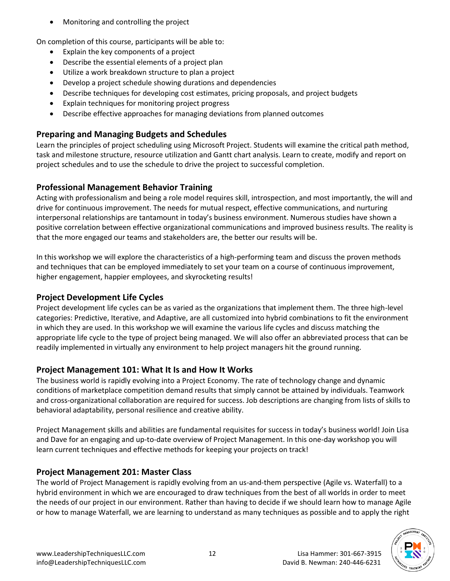• Monitoring and controlling the project

On completion of this course, participants will be able to:

- Explain the key components of a project
- Describe the essential elements of a project plan
- Utilize a work breakdown structure to plan a project
- Develop a project schedule showing durations and dependencies
- Describe techniques for developing cost estimates, pricing proposals, and project budgets
- Explain techniques for monitoring project progress
- Describe effective approaches for managing deviations from planned outcomes

# **Preparing and Managing Budgets and Schedules**

Learn the principles of project scheduling using Microsoft Project. Students will examine the critical path method, task and milestone structure, resource utilization and Gantt chart analysis. Learn to create, modify and report on project schedules and to use the schedule to drive the project to successful completion.

# **Professional Management Behavior Training**

Acting with professionalism and being a role model requires skill, introspection, and most importantly, the will and drive for continuous improvement. The needs for mutual respect, effective communications, and nurturing interpersonal relationships are tantamount in today's business environment. Numerous studies have shown a positive correlation between effective organizational communications and improved business results. The reality is that the more engaged our teams and stakeholders are, the better our results will be.

In this workshop we will explore the characteristics of a high-performing team and discuss the proven methods and techniques that can be employed immediately to set your team on a course of continuous improvement, higher engagement, happier employees, and skyrocketing results!

# **Project Development Life Cycles**

Project development life cycles can be as varied as the organizations that implement them. The three high-level categories: Predictive, Iterative, and Adaptive, are all customized into hybrid combinations to fit the environment in which they are used. In this workshop we will examine the various life cycles and discuss matching the appropriate life cycle to the type of project being managed. We will also offer an abbreviated process that can be readily implemented in virtually any environment to help project managers hit the ground running.

# **Project Management 101: What It Is and How It Works**

The business world is rapidly evolving into a Project Economy. The rate of technology change and dynamic conditions of marketplace competition demand results that simply cannot be attained by individuals. Teamwork and cross-organizational collaboration are required for success. Job descriptions are changing from lists of skills to behavioral adaptability, personal resilience and creative ability.

Project Management skills and abilities are fundamental requisites for success in today's business world! Join Lisa and Dave for an engaging and up-to-date overview of Project Management. In this one-day workshop you will learn current techniques and effective methods for keeping your projects on track!

# **Project Management 201: Master Class**

The world of Project Management is rapidly evolving from an us-and-them perspective (Agile vs. Waterfall) to a hybrid environment in which we are encouraged to draw techniques from the best of all worlds in order to meet the needs of our project in our environment. Rather than having to decide if we should learn how to manage Agile or how to manage Waterfall, we are learning to understand as many techniques as possible and to apply the right

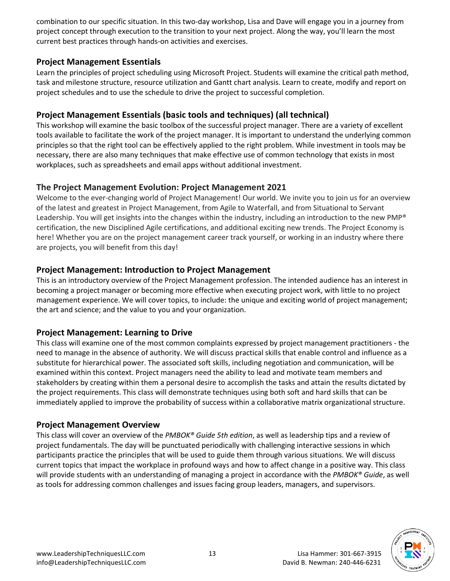combination to our specific situation. In this two-day workshop, Lisa and Dave will engage you in a journey from project concept through execution to the transition to your next project. Along the way, you'll learn the most current best practices through hands-on activities and exercises.

#### **Project Management Essentials**

Learn the principles of project scheduling using Microsoft Project. Students will examine the critical path method, task and milestone structure, resource utilization and Gantt chart analysis. Learn to create, modify and report on project schedules and to use the schedule to drive the project to successful completion.

# **Project Management Essentials (basic tools and techniques) (all technical)**

This workshop will examine the basic toolbox of the successful project manager. There are a variety of excellent tools available to facilitate the work of the project manager. It is important to understand the underlying common principles so that the right tool can be effectively applied to the right problem. While investment in tools may be necessary, there are also many techniques that make effective use of common technology that exists in most workplaces, such as spreadsheets and email apps without additional investment.

### **The Project Management Evolution: Project Management 2021**

Welcome to the ever-changing world of Project Management! Our world. We invite you to join us for an overview of the latest and greatest in Project Management, from Agile to Waterfall, and from Situational to Servant Leadership. You will get insights into the changes within the industry, including an introduction to the new PMP® certification, the new Disciplined Agile certifications, and additional exciting new trends. The Project Economy is here! Whether you are on the project management career track yourself, or working in an industry where there are projects, you will benefit from this day!

### **Project Management: Introduction to Project Management**

This is an introductory overview of the Project Management profession. The intended audience has an interest in becoming a project manager or becoming more effective when executing project work, with little to no project management experience. We will cover topics, to include: the unique and exciting world of project management; the art and science; and the value to you and your organization.

### **Project Management: Learning to Drive**

This class will examine one of the most common complaints expressed by project management practitioners - the need to manage in the absence of authority. We will discuss practical skills that enable control and influence as a substitute for hierarchical power. The associated soft skills, including negotiation and communication, will be examined within this context. Project managers need the ability to lead and motivate team members and stakeholders by creating within them a personal desire to accomplish the tasks and attain the results dictated by the project requirements. This class will demonstrate techniques using both soft and hard skills that can be immediately applied to improve the probability of success within a collaborative matrix organizational structure.

### **Project Management Overview**

This class will cover an overview of the *PMBOK® Guide 5th edition*, as well as leadership tips and a review of project fundamentals. The day will be punctuated periodically with challenging interactive sessions in which participants practice the principles that will be used to guide them through various situations. We will discuss current topics that impact the workplace in profound ways and how to affect change in a positive way. This class will provide students with an understanding of managing a project in accordance with the *PMBOK® Guide*, as well as tools for addressing common challenges and issues facing group leaders, managers, and supervisors.

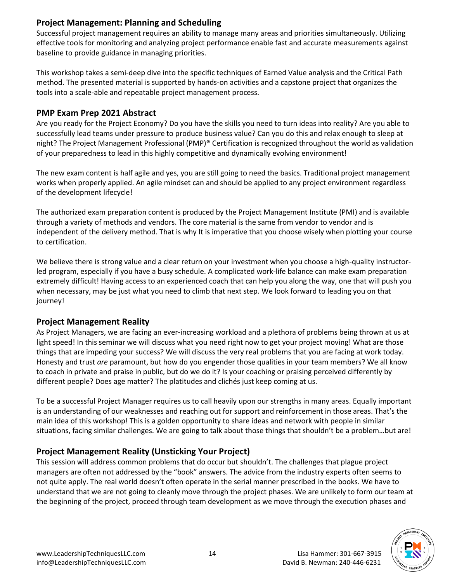### **Project Management: Planning and Scheduling**

Successful project management requires an ability to manage many areas and priorities simultaneously. Utilizing effective tools for monitoring and analyzing project performance enable fast and accurate measurements against baseline to provide guidance in managing priorities.

This workshop takes a semi-deep dive into the specific techniques of Earned Value analysis and the Critical Path method. The presented material is supported by hands-on activities and a capstone project that organizes the tools into a scale-able and repeatable project management process.

#### **PMP Exam Prep 2021 Abstract**

Are you ready for the Project Economy? Do you have the skills you need to turn ideas into reality? Are you able to successfully lead teams under pressure to produce business value? Can you do this and relax enough to sleep at night? The Project Management Professional (PMP)® Certification is recognized throughout the world as validation of your preparedness to lead in this highly competitive and dynamically evolving environment!

The new exam content is half agile and yes, you are still going to need the basics. Traditional project management works when properly applied. An agile mindset can and should be applied to any project environment regardless of the development lifecycle!

The authorized exam preparation content is produced by the Project Management Institute (PMI) and is available through a variety of methods and vendors. The core material is the same from vendor to vendor and is independent of the delivery method. That is why It is imperative that you choose wisely when plotting your course to certification.

We believe there is strong value and a clear return on your investment when you choose a high-quality instructorled program, especially if you have a busy schedule. A complicated work-life balance can make exam preparation extremely difficult! Having access to an experienced coach that can help you along the way, one that will push you when necessary, may be just what you need to climb that next step. We look forward to leading you on that journey!

### **Project Management Reality**

As Project Managers, we are facing an ever-increasing workload and a plethora of problems being thrown at us at light speed! In this seminar we will discuss what you need right now to get your project moving! What are those things that are impeding your success? We will discuss the very real problems that you are facing at work today. Honesty and trust *are* paramount, but how do you engender those qualities in your team members? We all know to coach in private and praise in public, but do we do it? Is your coaching or praising perceived differently by different people? Does age matter? The platitudes and clichés just keep coming at us.

To be a successful Project Manager requires us to call heavily upon our strengths in many areas. Equally important is an understanding of our weaknesses and reaching out for support and reinforcement in those areas. That's the main idea of this workshop! This is a golden opportunity to share ideas and network with people in similar situations, facing similar challenges. We are going to talk about those things that shouldn't be a problem…but are!

# **Project Management Reality (Unsticking Your Project)**

This session will address common problems that do occur but shouldn't. The challenges that plague project managers are often not addressed by the "book" answers. The advice from the industry experts often seems to not quite apply. The real world doesn't often operate in the serial manner prescribed in the books. We have to understand that we are not going to cleanly move through the project phases. We are unlikely to form our team at the beginning of the project, proceed through team development as we move through the execution phases and

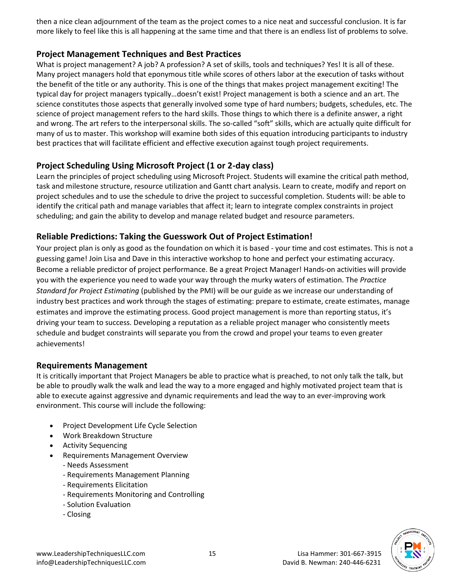then a nice clean adjournment of the team as the project comes to a nice neat and successful conclusion. It is far more likely to feel like this is all happening at the same time and that there is an endless list of problems to solve.

### **Project Management Techniques and Best Practices**

What is project management? A job? A profession? A set of skills, tools and techniques? Yes! It is all of these. Many project managers hold that eponymous title while scores of others labor at the execution of tasks without the benefit of the title or any authority. This is one of the things that makes project management exciting! The typical day for project managers typically…doesn't exist! Project management is both a science and an art. The science constitutes those aspects that generally involved some type of hard numbers; budgets, schedules, etc. The science of project management refers to the hard skills. Those things to which there is a definite answer, a right and wrong. The art refers to the interpersonal skills. The so-called "soft" skills, which are actually quite difficult for many of us to master. This workshop will examine both sides of this equation introducing participants to industry best practices that will facilitate efficient and effective execution against tough project requirements.

### **Project Scheduling Using Microsoft Project (1 or 2-day class)**

Learn the principles of project scheduling using Microsoft Project. Students will examine the critical path method, task and milestone structure, resource utilization and Gantt chart analysis. Learn to create, modify and report on project schedules and to use the schedule to drive the project to successful completion. Students will: be able to identify the critical path and manage variables that affect it; learn to integrate complex constraints in project scheduling; and gain the ability to develop and manage related budget and resource parameters.

### **Reliable Predictions: Taking the Guesswork Out of Project Estimation!**

Your project plan is only as good as the foundation on which it is based - your time and cost estimates. This is not a guessing game! Join Lisa and Dave in this interactive workshop to hone and perfect your estimating accuracy. Become a reliable predictor of project performance. Be a great Project Manager! Hands-on activities will provide you with the experience you need to wade your way through the murky waters of estimation. The *Practice Standard for Project Estimating* (published by the PMI) will be our guide as we increase our understanding of industry best practices and work through the stages of estimating: prepare to estimate, create estimates, manage estimates and improve the estimating process. Good project management is more than reporting status, it's driving your team to success. Developing a reputation as a reliable project manager who consistently meets schedule and budget constraints will separate you from the crowd and propel your teams to even greater achievements!

#### **Requirements Management**

It is critically important that Project Managers be able to practice what is preached, to not only talk the talk, but be able to proudly walk the walk and lead the way to a more engaged and highly motivated project team that is able to execute against aggressive and dynamic requirements and lead the way to an ever-improving work environment. This course will include the following:

- Project Development Life Cycle Selection
- Work Breakdown Structure
- Activity Sequencing
- Requirements Management Overview
	- Needs Assessment
	- Requirements Management Planning
	- Requirements Elicitation
	- Requirements Monitoring and Controlling
	- Solution Evaluation
	- Closing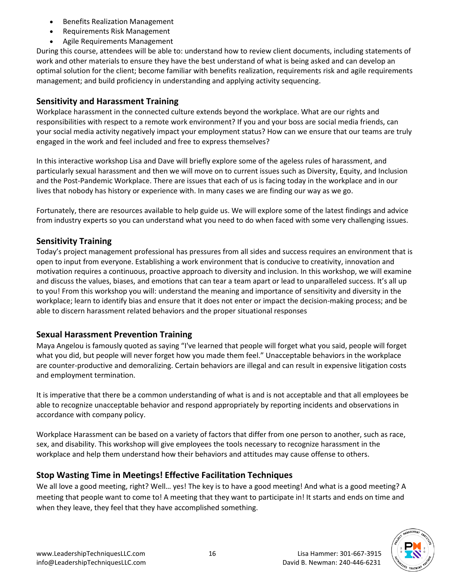- Benefits Realization Management
- Requirements Risk Management
- Agile Requirements Management

During this course, attendees will be able to: understand how to review client documents, including statements of work and other materials to ensure they have the best understand of what is being asked and can develop an optimal solution for the client; become familiar with benefits realization, requirements risk and agile requirements management; and build proficiency in understanding and applying activity sequencing.

### **Sensitivity and Harassment Training**

Workplace harassment in the connected culture extends beyond the workplace. What are our rights and responsibilities with respect to a remote work environment? If you and your boss are social media friends, can your social media activity negatively impact your employment status? How can we ensure that our teams are truly engaged in the work and feel included and free to express themselves?

In this interactive workshop Lisa and Dave will briefly explore some of the ageless rules of harassment, and particularly sexual harassment and then we will move on to current issues such as Diversity, Equity, and Inclusion and the Post-Pandemic Workplace. There are issues that each of us is facing today in the workplace and in our lives that nobody has history or experience with. In many cases we are finding our way as we go.

Fortunately, there are resources available to help guide us. We will explore some of the latest findings and advice from industry experts so you can understand what you need to do when faced with some very challenging issues.

### **Sensitivity Training**

Today's project management professional has pressures from all sides and success requires an environment that is open to input from everyone. Establishing a work environment that is conducive to creativity, innovation and motivation requires a continuous, proactive approach to diversity and inclusion. In this workshop, we will examine and discuss the values, biases, and emotions that can tear a team apart or lead to unparalleled success. It's all up to you! From this workshop you will: understand the meaning and importance of sensitivity and diversity in the workplace; learn to identify bias and ensure that it does not enter or impact the decision-making process; and be able to discern harassment related behaviors and the proper situational responses

### **Sexual Harassment Prevention Training**

Maya Angelou is famously quoted as saying "I've learned that people will forget what you said, people will forget what you did, but people will never forget how you made them feel." Unacceptable behaviors in the workplace are counter-productive and demoralizing. Certain behaviors are illegal and can result in expensive litigation costs and employment termination.

It is imperative that there be a common understanding of what is and is not acceptable and that all employees be able to recognize unacceptable behavior and respond appropriately by reporting incidents and observations in accordance with company policy.

Workplace Harassment can be based on a variety of factors that differ from one person to another, such as race, sex, and disability. This workshop will give employees the tools necessary to recognize harassment in the workplace and help them understand how their behaviors and attitudes may cause offense to others.

### **Stop Wasting Time in Meetings! Effective Facilitation Techniques**

We all love a good meeting, right? Well… yes! The key is to have a good meeting! And what is a good meeting? A meeting that people want to come to! A meeting that they want to participate in! It starts and ends on time and when they leave, they feel that they have accomplished something.

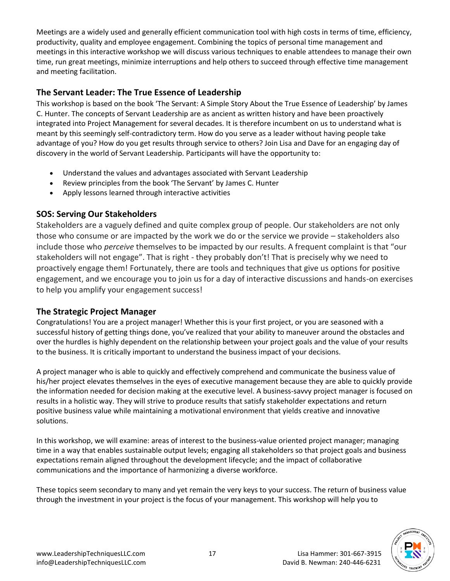Meetings are a widely used and generally efficient communication tool with high costs in terms of time, efficiency, productivity, quality and employee engagement. Combining the topics of personal time management and meetings in this interactive workshop we will discuss various techniques to enable attendees to manage their own time, run great meetings, minimize interruptions and help others to succeed through effective time management and meeting facilitation.

# **The Servant Leader: The True Essence of Leadership**

This workshop is based on the book 'The Servant: A Simple Story About the True Essence of Leadership' by James C. Hunter. The concepts of Servant Leadership are as ancient as written history and have been proactively integrated into Project Management for several decades. It is therefore incumbent on us to understand what is meant by this seemingly self-contradictory term. How do you serve as a leader without having people take advantage of you? How do you get results through service to others? Join Lisa and Dave for an engaging day of discovery in the world of Servant Leadership. Participants will have the opportunity to:

- Understand the values and advantages associated with Servant Leadership
- Review principles from the book 'The Servant' by James C. Hunter
- Apply lessons learned through interactive activities

# **SOS: Serving Our Stakeholders**

Stakeholders are a vaguely defined and quite complex group of people. Our stakeholders are not only those who consume or are impacted by the work we do or the service we provide – stakeholders also include those who *perceive* themselves to be impacted by our results. A frequent complaint is that "our stakeholders will not engage". That is right - they probably don't! That is precisely why we need to proactively engage them! Fortunately, there are tools and techniques that give us options for positive engagement, and we encourage you to join us for a day of interactive discussions and hands-on exercises to help you amplify your engagement success!

### **The Strategic Project Manager**

Congratulations! You are a project manager! Whether this is your first project, or you are seasoned with a successful history of getting things done, you've realized that your ability to maneuver around the obstacles and over the hurdles is highly dependent on the relationship between your project goals and the value of your results to the business. It is critically important to understand the business impact of your decisions.

A project manager who is able to quickly and effectively comprehend and communicate the business value of his/her project elevates themselves in the eyes of executive management because they are able to quickly provide the information needed for decision making at the executive level. A business-savvy project manager is focused on results in a holistic way. They will strive to produce results that satisfy stakeholder expectations and return positive business value while maintaining a motivational environment that yields creative and innovative solutions.

In this workshop, we will examine: areas of interest to the business-value oriented project manager; managing time in a way that enables sustainable output levels; engaging all stakeholders so that project goals and business expectations remain aligned throughout the development lifecycle; and the impact of collaborative communications and the importance of harmonizing a diverse workforce.

These topics seem secondary to many and yet remain the very keys to your success. The return of business value through the investment in your project is the focus of your management. This workshop will help you to

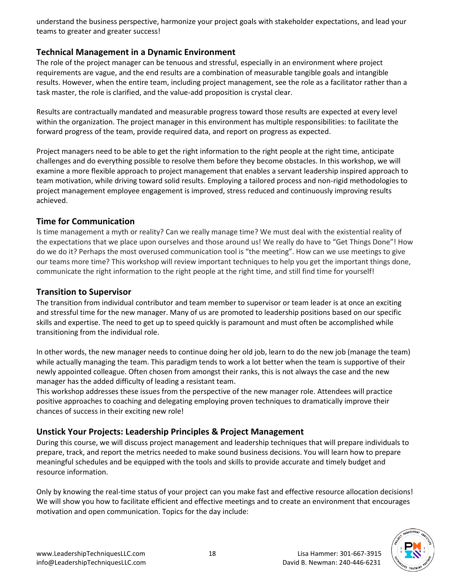understand the business perspective, harmonize your project goals with stakeholder expectations, and lead your teams to greater and greater success!

### **Technical Management in a Dynamic Environment**

The role of the project manager can be tenuous and stressful, especially in an environment where project requirements are vague, and the end results are a combination of measurable tangible goals and intangible results. However, when the entire team, including project management, see the role as a facilitator rather than a task master, the role is clarified, and the value-add proposition is crystal clear.

Results are contractually mandated and measurable progress toward those results are expected at every level within the organization. The project manager in this environment has multiple responsibilities: to facilitate the forward progress of the team, provide required data, and report on progress as expected.

Project managers need to be able to get the right information to the right people at the right time, anticipate challenges and do everything possible to resolve them before they become obstacles. In this workshop, we will examine a more flexible approach to project management that enables a servant leadership inspired approach to team motivation, while driving toward solid results. Employing a tailored process and non-rigid methodologies to project management employee engagement is improved, stress reduced and continuously improving results achieved.

### **Time for Communication**

Is time management a myth or reality? Can we really manage time? We must deal with the existential reality of the expectations that we place upon ourselves and those around us! We really do have to "Get Things Done"! How do we do it? Perhaps the most overused communication tool is "the meeting". How can we use meetings to give our teams more time? This workshop will review important techniques to help you get the important things done, communicate the right information to the right people at the right time, and still find time for yourself!

#### **Transition to Supervisor**

The transition from individual contributor and team member to supervisor or team leader is at once an exciting and stressful time for the new manager. Many of us are promoted to leadership positions based on our specific skills and expertise. The need to get up to speed quickly is paramount and must often be accomplished while transitioning from the individual role.

In other words, the new manager needs to continue doing her old job, learn to do the new job (manage the team) while actually managing the team. This paradigm tends to work a lot better when the team is supportive of their newly appointed colleague. Often chosen from amongst their ranks, this is not always the case and the new manager has the added difficulty of leading a resistant team.

This workshop addresses these issues from the perspective of the new manager role. Attendees will practice positive approaches to coaching and delegating employing proven techniques to dramatically improve their chances of success in their exciting new role!

### **Unstick Your Projects: Leadership Principles & Project Management**

During this course, we will discuss project management and leadership techniques that will prepare individuals to prepare, track, and report the metrics needed to make sound business decisions. You will learn how to prepare meaningful schedules and be equipped with the tools and skills to provide accurate and timely budget and resource information.

Only by knowing the real-time status of your project can you make fast and effective resource allocation decisions! We will show you how to facilitate efficient and effective meetings and to create an environment that encourages motivation and open communication. Topics for the day include:

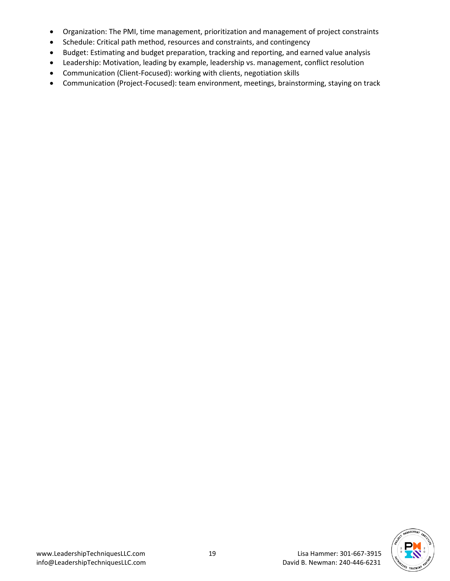- Organization: The PMI, time management, prioritization and management of project constraints
- Schedule: Critical path method, resources and constraints, and contingency
- Budget: Estimating and budget preparation, tracking and reporting, and earned value analysis
- Leadership: Motivation, leading by example, leadership vs. management, conflict resolution
- Communication (Client-Focused): working with clients, negotiation skills
- Communication (Project-Focused): team environment, meetings, brainstorming, staying on track

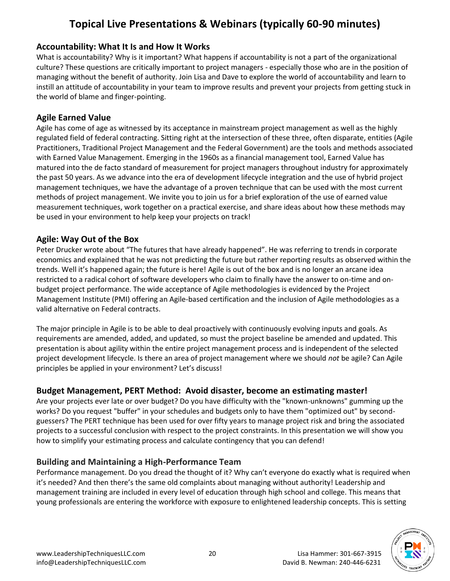# **Topical Live Presentations & Webinars (typically 60-90 minutes)**

### **Accountability: What It Is and How It Works**

What is accountability? Why is it important? What happens if accountability is not a part of the organizational culture? These questions are critically important to project managers - especially those who are in the position of managing without the benefit of authority. Join Lisa and Dave to explore the world of accountability and learn to instill an attitude of accountability in your team to improve results and prevent your projects from getting stuck in the world of blame and finger-pointing.

### **Agile Earned Value**

Agile has come of age as witnessed by its acceptance in mainstream project management as well as the highly regulated field of federal contracting. Sitting right at the intersection of these three, often disparate, entities (Agile Practitioners, Traditional Project Management and the Federal Government) are the tools and methods associated with Earned Value Management. Emerging in the 1960s as a financial management tool, Earned Value has matured into the de facto standard of measurement for project managers throughout industry for approximately the past 50 years. As we advance into the era of development lifecycle integration and the use of hybrid project management techniques, we have the advantage of a proven technique that can be used with the most current methods of project management. We invite you to join us for a brief exploration of the use of earned value measurement techniques, work together on a practical exercise, and share ideas about how these methods may be used in your environment to help keep your projects on track!

### **Agile: Way Out of the Box**

Peter Drucker wrote about "The futures that have already happened". He was referring to trends in corporate economics and explained that he was not predicting the future but rather reporting results as observed within the trends. Well it's happened again; the future is here! Agile is out of the box and is no longer an arcane idea restricted to a radical cohort of software developers who claim to finally have the answer to on-time and onbudget project performance. The wide acceptance of Agile methodologies is evidenced by the Project Management Institute (PMI) offering an Agile-based certification and the inclusion of Agile methodologies as a valid alternative on Federal contracts.

The major principle in Agile is to be able to deal proactively with continuously evolving inputs and goals. As requirements are amended, added, and updated, so must the project baseline be amended and updated. This presentation is about agility within the entire project management process and is independent of the selected project development lifecycle. Is there an area of project management where we should *not* be agile? Can Agile principles be applied in your environment? Let's discuss!

### **Budget Management, PERT Method: Avoid disaster, become an estimating master!**

Are your projects ever late or over budget? Do you have difficulty with the "known-unknowns" gumming up the works? Do you request "buffer" in your schedules and budgets only to have them "optimized out" by secondguessers? The PERT technique has been used for over fifty years to manage project risk and bring the associated projects to a successful conclusion with respect to the project constraints. In this presentation we will show you how to simplify your estimating process and calculate contingency that you can defend!

### **Building and Maintaining a High-Performance Team**

Performance management. Do you dread the thought of it? Why can't everyone do exactly what is required when it's needed? And then there's the same old complaints about managing without authority! Leadership and management training are included in every level of education through high school and college. This means that young professionals are entering the workforce with exposure to enlightened leadership concepts. This is setting

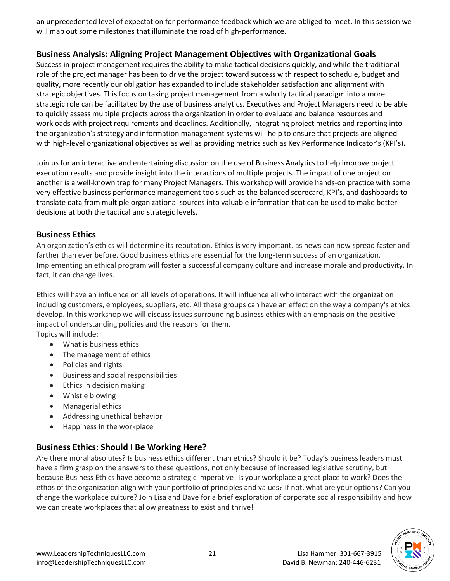an unprecedented level of expectation for performance feedback which we are obliged to meet. In this session we will map out some milestones that illuminate the road of high-performance.

### **Business Analysis: Aligning Project Management Objectives with Organizational Goals**

Success in project management requires the ability to make tactical decisions quickly, and while the traditional role of the project manager has been to drive the project toward success with respect to schedule, budget and quality, more recently our obligation has expanded to include stakeholder satisfaction and alignment with strategic objectives. This focus on taking project management from a wholly tactical paradigm into a more strategic role can be facilitated by the use of business analytics. Executives and Project Managers need to be able to quickly assess multiple projects across the organization in order to evaluate and balance resources and workloads with project requirements and deadlines. Additionally, integrating project metrics and reporting into the organization's strategy and information management systems will help to ensure that projects are aligned with high-level organizational objectives as well as providing metrics such as Key Performance Indicator's (KPI's).

Join us for an interactive and entertaining discussion on the use of Business Analytics to help improve project execution results and provide insight into the interactions of multiple projects. The impact of one project on another is a well-known trap for many Project Managers. This workshop will provide hands-on practice with some very effective business performance management tools such as the balanced scorecard, KPI's, and dashboards to translate data from multiple organizational sources into valuable information that can be used to make better decisions at both the tactical and strategic levels.

#### **Business Ethics**

An organization's ethics will determine its reputation. Ethics is very important, as news can now spread faster and farther than ever before. Good business ethics are essential for the long-term success of an organization. Implementing an ethical program will foster a successful company culture and increase morale and productivity. In fact, it can change lives.

Ethics will have an influence on all levels of operations. It will influence all who interact with the organization including customers, employees, suppliers, etc. All these groups can have an effect on the way a company's ethics develop. In this workshop we will discuss issues surrounding business ethics with an emphasis on the positive impact of understanding policies and the reasons for them. Topics will include:

- What is business ethics
- The management of ethics
- Policies and rights
- Business and social responsibilities
- Ethics in decision making
- Whistle blowing
- Managerial ethics
- Addressing unethical behavior
- Happiness in the workplace

# **Business Ethics: Should I Be Working Here?**

Are there moral absolutes? Is business ethics different than ethics? Should it be? Today's business leaders must have a firm grasp on the answers to these questions, not only because of increased legislative scrutiny, but because Business Ethics have become a strategic imperative! Is your workplace a great place to work? Does the ethos of the organization align with your portfolio of principles and values? If not, what are your options? Can you change the workplace culture? Join Lisa and Dave for a brief exploration of corporate social responsibility and how we can create workplaces that allow greatness to exist and thrive!

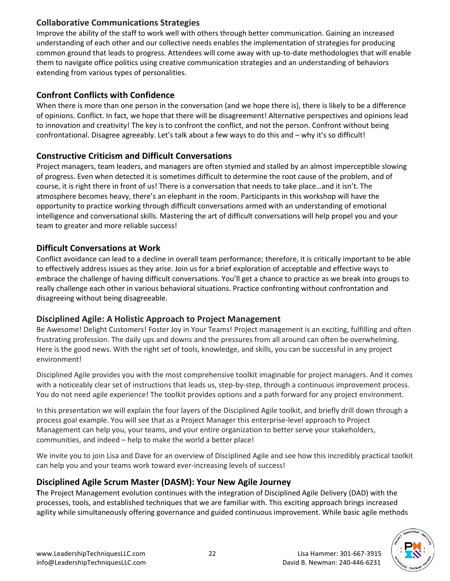# **Collaborative Communications Strategies**

Improve the ability of the staff to work well with others through better communication. Gaining an increased understanding of each other and our collective needs enables the implementation of strategies for producing common ground that leads to progress. Attendees will come away with up-to-date methodologies that will enable them to navigate office politics using creative communication strategies and an understanding of behaviors extending from various types of personalities.

### **Confront Conflicts with Confidence**

When there is more than one person in the conversation (and we hope there is), there is likely to be a difference of opinions. Conflict. In fact, we hope that there will be disagreement! Alternative perspectives and opinions lead to innovation and creativity! The key is to confront the conflict, and not the person. Confront without being confrontational. Disagree agreeably. Let's talk about a few ways to do this and – why it's so difficult!

# **Constructive Criticism and Difficult Conversations**

Project managers, team leaders, and managers are often stymied and stalled by an almost imperceptible slowing of progress. Even when detected it is sometimes difficult to determine the root cause of the problem, and of course, it is right there in front of us! There is a conversation that needs to take place…and it isn't. The atmosphere becomes heavy, there's an elephant in the room. Participants in this workshop will have the opportunity to practice working through difficult conversations armed with an understanding of emotional intelligence and conversational skills. Mastering the art of difficult conversations will help propel you and your team to greater and more reliable success!

# **Difficult Conversations at Work**

Conflict avoidance can lead to a decline in overall team performance; therefore, it is critically important to be able to effectively address issues as they arise. Join us for a brief exploration of acceptable and effective ways to embrace the challenge of having difficult conversations. You'll get a chance to practice as we break into groups to really challenge each other in various behavioral situations. Practice confronting without confrontation and disagreeing without being disagreeable.

# **Disciplined Agile: A Holistic Approach to Project Management**

Be Awesome! Delight Customers! Foster Joy in Your Teams! Project management is an exciting, fulfilling and often frustrating profession. The daily ups and downs and the pressures from all around can often be overwhelming. Here is the good news. With the right set of tools, knowledge, and skills, you can be successful in any project environment!

Disciplined Agile provides you with the most comprehensive toolkit imaginable for project managers. And it comes with a noticeably clear set of instructions that leads us, step-by-step, through a continuous improvement process. You do not need agile experience! The toolkit provides options and a path forward for any project environment.

In this presentation we will explain the four layers of the Disciplined Agile toolkit, and briefly drill down through a process goal example. You will see that as a Project Manager this enterprise-level approach to Project Management can help you, your teams, and your entire organization to better serve your stakeholders, communities, and indeed – help to make the world a better place!

We invite you to join Lisa and Dave for an overview of Disciplined Agile and see how this incredibly practical toolkit can help you and your teams work toward ever-increasing levels of success!

### **Disciplined Agile Scrum Master (DASM): Your New Agile Journey**

**T**he Project Management evolution continues with the integration of Disciplined Agile Delivery (DAD) with the processes, tools, and established techniques that we are familiar with. This exciting approach brings increased agility while simultaneously offering governance and guided continuous improvement. While basic agile methods

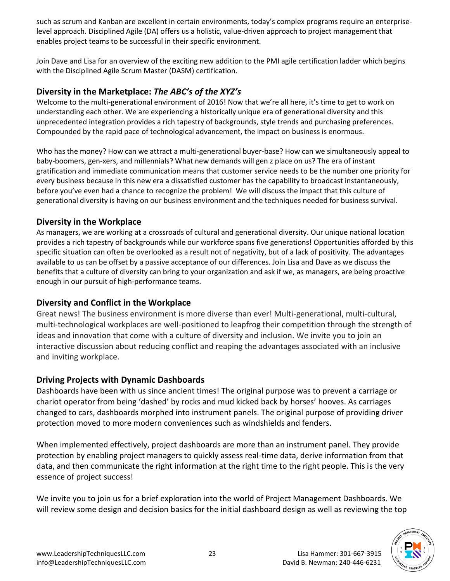such as scrum and Kanban are excellent in certain environments, today's complex programs require an enterpriselevel approach. Disciplined Agile (DA) offers us a holistic, value-driven approach to project management that enables project teams to be successful in their specific environment.

Join Dave and Lisa for an overview of the exciting new addition to the PMI agile certification ladder which begins with the Disciplined Agile Scrum Master (DASM) certification.

### **Diversity in the Marketplace:** *The ABC's of the XYZ's*

Welcome to the multi-generational environment of 2016! Now that we're all here, it's time to get to work on understanding each other. We are experiencing a historically unique era of generational diversity and this unprecedented integration provides a rich tapestry of backgrounds, style trends and purchasing preferences. Compounded by the rapid pace of technological advancement, the impact on business is enormous.

Who has the money? How can we attract a multi-generational buyer-base? How can we simultaneously appeal to baby-boomers, gen-xers, and millennials? What new demands will gen z place on us? The era of instant gratification and immediate communication means that customer service needs to be the number one priority for every business because in this new era a dissatisfied customer has the capability to broadcast instantaneously, before you've even had a chance to recognize the problem! We will discuss the impact that this culture of generational diversity is having on our business environment and the techniques needed for business survival.

### **Diversity in the Workplace**

As managers, we are working at a crossroads of cultural and generational diversity. Our unique national location provides a rich tapestry of backgrounds while our workforce spans five generations! Opportunities afforded by this specific situation can often be overlooked as a result not of negativity, but of a lack of positivity. The advantages available to us can be offset by a passive acceptance of our differences. Join Lisa and Dave as we discuss the benefits that a culture of diversity can bring to your organization and ask if we, as managers, are being proactive enough in our pursuit of high-performance teams.

### **Diversity and Conflict in the Workplace**

Great news! The business environment is more diverse than ever! Multi-generational, multi-cultural, multi-technological workplaces are well-positioned to leapfrog their competition through the strength of ideas and innovation that come with a culture of diversity and inclusion. We invite you to join an interactive discussion about reducing conflict and reaping the advantages associated with an inclusive and inviting workplace.

#### **Driving Projects with Dynamic Dashboards**

Dashboards have been with us since ancient times! The original purpose was to prevent a carriage or chariot operator from being 'dashed' by rocks and mud kicked back by horses' hooves. As carriages changed to cars, dashboards morphed into instrument panels. The original purpose of providing driver protection moved to more modern conveniences such as windshields and fenders.

When implemented effectively, project dashboards are more than an instrument panel. They provide protection by enabling project managers to quickly assess real-time data, derive information from that data, and then communicate the right information at the right time to the right people. This is the very essence of project success!

We invite you to join us for a brief exploration into the world of Project Management Dashboards. We will review some design and decision basics for the initial dashboard design as well as reviewing the top

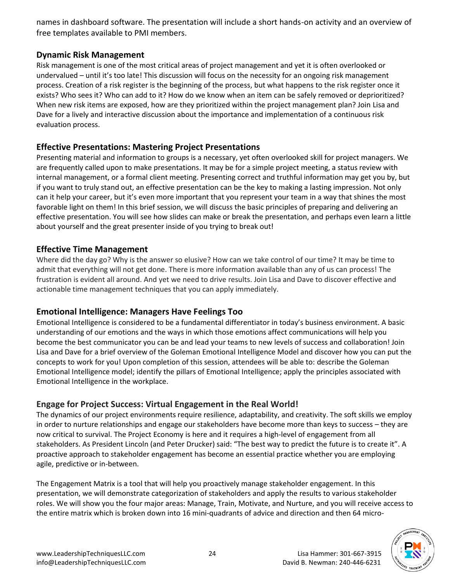names in dashboard software. The presentation will include a short hands-on activity and an overview of free templates available to PMI members.

### **Dynamic Risk Management**

Risk management is one of the most critical areas of project management and yet it is often overlooked or undervalued – until it's too late! This discussion will focus on the necessity for an ongoing risk management process. Creation of a risk register is the beginning of the process, but what happens to the risk register once it exists? Who sees it? Who can add to it? How do we know when an item can be safely removed or deprioritized? When new risk items are exposed, how are they prioritized within the project management plan? Join Lisa and Dave for a lively and interactive discussion about the importance and implementation of a continuous risk evaluation process.

### **Effective Presentations: Mastering Project Presentations**

Presenting material and information to groups is a necessary, yet often overlooked skill for project managers. We are frequently called upon to make presentations. It may be for a simple project meeting, a status review with internal management, or a formal client meeting. Presenting correct and truthful information may get you by, but if you want to truly stand out, an effective presentation can be the key to making a lasting impression. Not only can it help your career, but it's even more important that you represent your team in a way that shines the most favorable light on them! In this brief session, we will discuss the basic principles of preparing and delivering an effective presentation. You will see how slides can make or break the presentation, and perhaps even learn a little about yourself and the great presenter inside of you trying to break out!

### **Effective Time Management**

Where did the day go? Why is the answer so elusive? How can we take control of our time? It may be time to admit that everything will not get done. There is more information available than any of us can process! The frustration is evident all around. And yet we need to drive results. Join Lisa and Dave to discover effective and actionable time management techniques that you can apply immediately.

#### **Emotional Intelligence: Managers Have Feelings Too**

Emotional Intelligence is considered to be a fundamental differentiator in today's business environment. A basic understanding of our emotions and the ways in which those emotions affect communications will help you become the best communicator you can be and lead your teams to new levels of success and collaboration! Join Lisa and Dave for a brief overview of the Goleman Emotional Intelligence Model and discover how you can put the concepts to work for you! Upon completion of this session, attendees will be able to: describe the Goleman Emotional Intelligence model; identify the pillars of Emotional Intelligence; apply the principles associated with Emotional Intelligence in the workplace.

### **Engage for Project Success: Virtual Engagement in the Real World!**

The dynamics of our project environments require resilience, adaptability, and creativity. The soft skills we employ in order to nurture relationships and engage our stakeholders have become more than keys to success – they are now critical to survival. The Project Economy is here and it requires a high-level of engagement from all stakeholders. As President Lincoln (and Peter Drucker) said: "The best way to predict the future is to create it". A proactive approach to stakeholder engagement has become an essential practice whether you are employing agile, predictive or in-between.

The Engagement Matrix is a tool that will help you proactively manage stakeholder engagement. In this presentation, we will demonstrate categorization of stakeholders and apply the results to various stakeholder roles. We will show you the four major areas: Manage, Train, Motivate, and Nurture, and you will receive access to the entire matrix which is broken down into 16 mini-quadrants of advice and direction and then 64 micro-

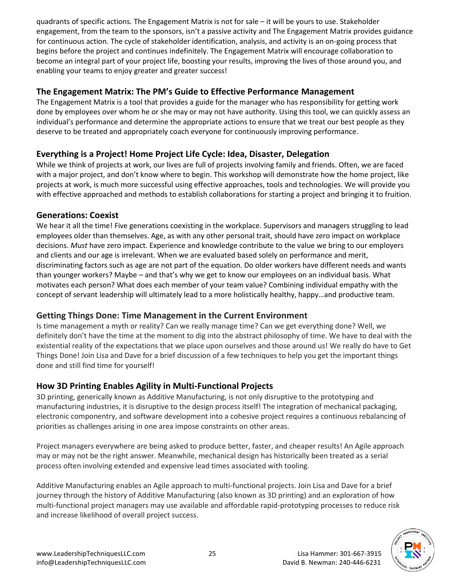quadrants of specific actions. The Engagement Matrix is not for sale – it will be yours to use. Stakeholder engagement, from the team to the sponsors, isn't a passive activity and The Engagement Matrix provides guidance for continuous action. The cycle of stakeholder identification, analysis, and activity is an on-going process that begins before the project and continues indefinitely. The Engagement Matrix will encourage collaboration to become an integral part of your project life, boosting your results, improving the lives of those around you, and enabling your teams to enjoy greater and greater success!

#### **The Engagement Matrix: The PM's Guide to Effective Performance Management**

The Engagement Matrix is a tool that provides a guide for the manager who has responsibility for getting work done by employees over whom he or she may or may not have authority. Using this tool, we can quickly assess an individual's performance and determine the appropriate actions to ensure that we treat our best people as they deserve to be treated and appropriately coach everyone for continuously improving performance.

### **Everything is a Project! Home Project Life Cycle: Idea, Disaster, Delegation**

While we think of projects at work, our lives are full of projects involving family and friends. Often, we are faced with a major project, and don't know where to begin. This workshop will demonstrate how the home project, like projects at work, is much more successful using effective approaches, tools and technologies. We will provide you with effective approached and methods to establish collaborations for starting a project and bringing it to fruition.

### **Generations: Coexist**

We hear it all the time! Five generations coexisting in the workplace. Supervisors and managers struggling to lead employees older than themselves. Age, as with any other personal trait, should have zero impact on workplace decisions. *Must* have zero impact. Experience and knowledge contribute to the value we bring to our employers and clients and our age is irrelevant. When we are evaluated based solely on performance and merit, discriminating factors such as age are not part of the equation. Do older workers have different needs and wants than younger workers? Maybe – and that's why we get to know our employees on an individual basis. What motivates each person? What does each member of your team value? Combining individual empathy with the concept of servant leadership will ultimately lead to a more holistically healthy, happy…and productive team.

### **Getting Things Done: Time Management in the Current Environment**

Is time management a myth or reality? Can we really manage time? Can we get everything done? Well, we definitely don't have the time at the moment to dig into the abstract philosophy of time. We have to deal with the existential reality of the expectations that we place upon ourselves and those around us! We really do have to Get Things Done! Join Lisa and Dave for a brief discussion of a few techniques to help you get the important things done and still find time for yourself!

### **How 3D Printing Enables Agility in Multi-Functional Projects**

3D printing, generically known as Additive Manufacturing, is not only disruptive to the prototyping and manufacturing industries, it is disruptive to the design process itself! The integration of mechanical packaging, electronic componentry, and software development into a cohesive project requires a continuous rebalancing of priorities as challenges arising in one area impose constraints on other areas.

Project managers everywhere are being asked to produce better, faster, and cheaper results! An Agile approach may or may not be the right answer. Meanwhile, mechanical design has historically been treated as a serial process often involving extended and expensive lead times associated with tooling.

Additive Manufacturing enables an Agile approach to multi-functional projects. Join Lisa and Dave for a brief journey through the history of Additive Manufacturing (also known as 3D printing) and an exploration of how multi-functional project managers may use available and affordable rapid-prototyping processes to reduce risk and increase likelihood of overall project success.

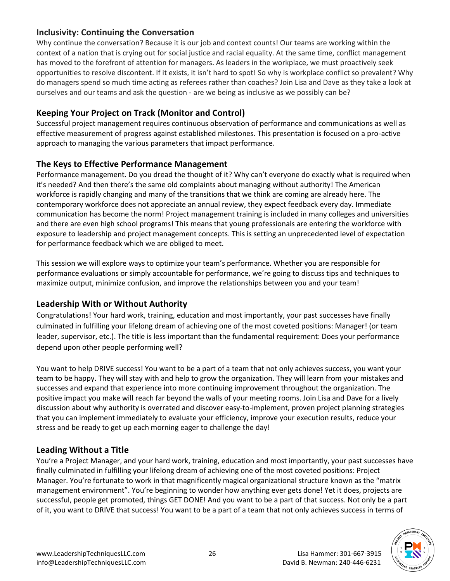### **Inclusivity: Continuing the Conversation**

Why continue the conversation? Because it is our job and context counts! Our teams are working within the context of a nation that is crying out for social justice and racial equality. At the same time, conflict management has moved to the forefront of attention for managers. As leaders in the workplace, we must proactively seek opportunities to resolve discontent. If it exists, it isn't hard to spot! So why is workplace conflict so prevalent? Why do managers spend so much time acting as referees rather than coaches? Join Lisa and Dave as they take a look at ourselves and our teams and ask the question - are we being as inclusive as we possibly can be?

### **Keeping Your Project on Track (Monitor and Control)**

Successful project management requires continuous observation of performance and communications as well as effective measurement of progress against established milestones. This presentation is focused on a pro-active approach to managing the various parameters that impact performance.

### **The Keys to Effective Performance Management**

Performance management. Do you dread the thought of it? Why can't everyone do exactly what is required when it's needed? And then there's the same old complaints about managing without authority! The American workforce is rapidly changing and many of the transitions that we think are coming are already here. The contemporary workforce does not appreciate an annual review, they expect feedback every day. Immediate communication has become the norm! Project management training is included in many colleges and universities and there are even high school programs! This means that young professionals are entering the workforce with exposure to leadership and project management concepts. This is setting an unprecedented level of expectation for performance feedback which we are obliged to meet.

This session we will explore ways to optimize your team's performance. Whether you are responsible for performance evaluations or simply accountable for performance, we're going to discuss tips and techniques to maximize output, minimize confusion, and improve the relationships between you and your team!

### **Leadership With or Without Authority**

Congratulations! Your hard work, training, education and most importantly, your past successes have finally culminated in fulfilling your lifelong dream of achieving one of the most coveted positions: Manager! (or team leader, supervisor, etc.). The title is less important than the fundamental requirement: Does your performance depend upon other people performing well?

You want to help DRIVE success! You want to be a part of a team that not only achieves success, you want your team to be happy. They will stay with and help to grow the organization. They will learn from your mistakes and successes and expand that experience into more continuing improvement throughout the organization. The positive impact you make will reach far beyond the walls of your meeting rooms. Join Lisa and Dave for a lively discussion about why authority is overrated and discover easy-to-implement, proven project planning strategies that you can implement immediately to evaluate your efficiency, improve your execution results, reduce your stress and be ready to get up each morning eager to challenge the day!

### **Leading Without a Title**

You're a Project Manager, and your hard work, training, education and most importantly, your past successes have finally culminated in fulfilling your lifelong dream of achieving one of the most coveted positions: Project Manager. You're fortunate to work in that magnificently magical organizational structure known as the "matrix management environment". You're beginning to wonder how anything ever gets done! Yet it does, projects are successful, people get promoted, things GET DONE! And you want to be a part of that success. Not only be a part of it, you want to DRIVE that success! You want to be a part of a team that not only achieves success in terms of

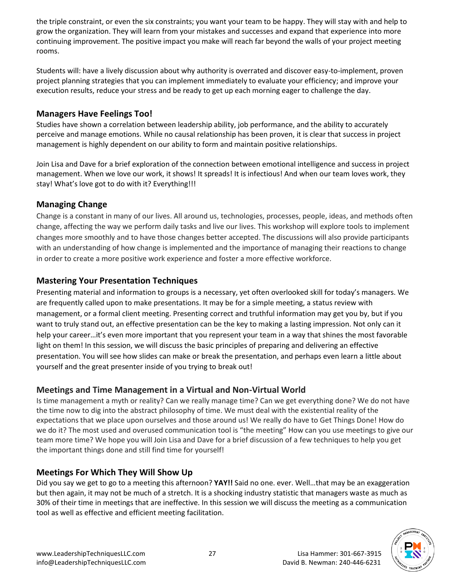the triple constraint, or even the six constraints; you want your team to be happy. They will stay with and help to grow the organization. They will learn from your mistakes and successes and expand that experience into more continuing improvement. The positive impact you make will reach far beyond the walls of your project meeting rooms.

Students will: have a lively discussion about why authority is overrated and discover easy-to-implement, proven project planning strategies that you can implement immediately to evaluate your efficiency; and improve your execution results, reduce your stress and be ready to get up each morning eager to challenge the day.

### **Managers Have Feelings Too!**

Studies have shown a correlation between leadership ability, job performance, and the ability to accurately perceive and manage emotions. While no causal relationship has been proven, it is clear that success in project management is highly dependent on our ability to form and maintain positive relationships.

Join Lisa and Dave for a brief exploration of the connection between emotional intelligence and success in project management. When we love our work, it shows! It spreads! It is infectious! And when our team loves work, they stay! What's love got to do with it? Everything!!!

### **Managing Change**

Change is a constant in many of our lives. All around us, technologies, processes, people, ideas, and methods often change, affecting the way we perform daily tasks and live our lives. This workshop will explore tools to implement changes more smoothly and to have those changes better accepted. The discussions will also provide participants with an understanding of how change is implemented and the importance of managing their reactions to change in order to create a more positive work experience and foster a more effective workforce.

### **Mastering Your Presentation Techniques**

Presenting material and information to groups is a necessary, yet often overlooked skill for today's managers. We are frequently called upon to make presentations. It may be for a simple meeting, a status review with management, or a formal client meeting. Presenting correct and truthful information may get you by, but if you want to truly stand out, an effective presentation can be the key to making a lasting impression. Not only can it help your career…it's even more important that you represent your team in a way that shines the most favorable light on them! In this session, we will discuss the basic principles of preparing and delivering an effective presentation. You will see how slides can make or break the presentation, and perhaps even learn a little about yourself and the great presenter inside of you trying to break out!

### **Meetings and Time Management in a Virtual and Non-Virtual World**

Is time management a myth or reality? Can we really manage time? Can we get everything done? We do not have the time now to dig into the abstract philosophy of time. We must deal with the existential reality of the expectations that we place upon ourselves and those around us! We really do have to Get Things Done! How do we do it? The most used and overused communication tool is "the meeting" How can you use meetings to give our team more time? We hope you will Join Lisa and Dave for a brief discussion of a few techniques to help you get the important things done and still find time for yourself!

### **Meetings For Which They Will Show Up**

Did you say we get to go to a meeting this afternoon? **YAY!!** Said no one. ever. Well…that may be an exaggeration but then again, it may not be much of a stretch. It is a shocking industry statistic that managers waste as much as 30% of their time in meetings that are ineffective. In this session we will discuss the meeting as a communication tool as well as effective and efficient meeting facilitation.

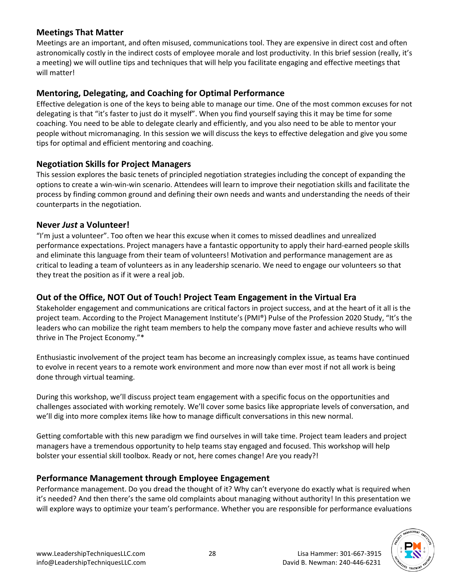### **Meetings That Matter**

Meetings are an important, and often misused, communications tool. They are expensive in direct cost and often astronomically costly in the indirect costs of employee morale and lost productivity. In this brief session (really, it's a meeting) we will outline tips and techniques that will help you facilitate engaging and effective meetings that will matter!

#### **Mentoring, Delegating, and Coaching for Optimal Performance**

Effective delegation is one of the keys to being able to manage our time. One of the most common excuses for not delegating is that "it's faster to just do it myself". When you find yourself saying this it may be time for some coaching. You need to be able to delegate clearly and efficiently, and you also need to be able to mentor your people without micromanaging. In this session we will discuss the keys to effective delegation and give you some tips for optimal and efficient mentoring and coaching.

### **Negotiation Skills for Project Managers**

This session explores the basic tenets of principled negotiation strategies including the concept of expanding the options to create a win-win-win scenario. Attendees will learn to improve their negotiation skills and facilitate the process by finding common ground and defining their own needs and wants and understanding the needs of their counterparts in the negotiation.

#### **Never** *Just* **a Volunteer!**

"I'm just a volunteer". Too often we hear this excuse when it comes to missed deadlines and unrealized performance expectations. Project managers have a fantastic opportunity to apply their hard-earned people skills and eliminate this language from their team of volunteers! Motivation and performance management are as critical to leading a team of volunteers as in any leadership scenario. We need to engage our volunteers so that they treat the position as if it were a real job.

### **Out of the Office, NOT Out of Touch! Project Team Engagement in the Virtual Era**

Stakeholder engagement and communications are critical factors in project success, and at the heart of it all is the project team. According to the Project Management Institute's (PMI®) Pulse of the Profession 2020 Study, "It's the leaders who can mobilize the right team members to help the company move faster and achieve results who will thrive in The Project Economy."\*

Enthusiastic involvement of the project team has become an increasingly complex issue, as teams have continued to evolve in recent years to a remote work environment and more now than ever most if not all work is being done through virtual teaming.

During this workshop, we'll discuss project team engagement with a specific focus on the opportunities and challenges associated with working remotely. We'll cover some basics like appropriate levels of conversation, and we'll dig into more complex items like how to manage difficult conversations in this new normal.

Getting comfortable with this new paradigm we find ourselves in will take time. Project team leaders and project managers have a tremendous opportunity to help teams stay engaged and focused. This workshop will help bolster your essential skill toolbox. Ready or not, here comes change! Are you ready?!

### **Performance Management through Employee Engagement**

Performance management. Do you dread the thought of it? Why can't everyone do exactly what is required when it's needed? And then there's the same old complaints about managing without authority! In this presentation we will explore ways to optimize your team's performance. Whether you are responsible for performance evaluations

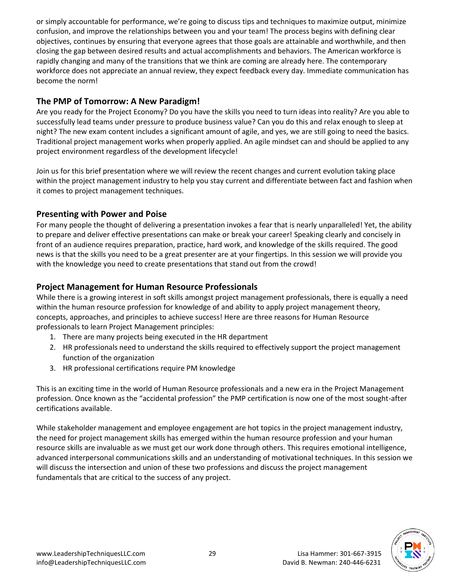or simply accountable for performance, we're going to discuss tips and techniques to maximize output, minimize confusion, and improve the relationships between you and your team! The process begins with defining clear objectives, continues by ensuring that everyone agrees that those goals are attainable and worthwhile, and then closing the gap between desired results and actual accomplishments and behaviors. The American workforce is rapidly changing and many of the transitions that we think are coming are already here. The contemporary workforce does not appreciate an annual review, they expect feedback every day. Immediate communication has become the norm!

### **The PMP of Tomorrow: A New Paradigm!**

Are you ready for the Project Economy? Do you have the skills you need to turn ideas into reality? Are you able to successfully lead teams under pressure to produce business value? Can you do this and relax enough to sleep at night? The new exam content includes a significant amount of agile, and yes, we are still going to need the basics. Traditional project management works when properly applied. An agile mindset can and should be applied to any project environment regardless of the development lifecycle!

Join us for this brief presentation where we will review the recent changes and current evolution taking place within the project management industry to help you stay current and differentiate between fact and fashion when it comes to project management techniques.

### **Presenting with Power and Poise**

For many people the thought of delivering a presentation invokes a fear that is nearly unparalleled! Yet, the ability to prepare and deliver effective presentations can make or break your career! Speaking clearly and concisely in front of an audience requires preparation, practice, hard work, and knowledge of the skills required. The good news is that the skills you need to be a great presenter are at your fingertips. In this session we will provide you with the knowledge you need to create presentations that stand out from the crowd!

### **Project Management for Human Resource Professionals**

While there is a growing interest in soft skills amongst project management professionals, there is equally a need within the human resource profession for knowledge of and ability to apply project management theory, concepts, approaches, and principles to achieve success! Here are three reasons for Human Resource professionals to learn Project Management principles:

- 1. There are many projects being executed in the HR department
- 2. HR professionals need to understand the skills required to effectively support the project management function of the organization
- 3. HR professional certifications require PM knowledge

This is an exciting time in the world of Human Resource professionals and a new era in the Project Management profession. Once known as the "accidental profession" the PMP certification is now one of the most sought-after certifications available.

While stakeholder management and employee engagement are hot topics in the project management industry, the need for project management skills has emerged within the human resource profession and your human resource skills are invaluable as we must get our work done through others. This requires emotional intelligence, advanced interpersonal communications skills and an understanding of motivational techniques. In this session we will discuss the intersection and union of these two professions and discuss the project management fundamentals that are critical to the success of any project.

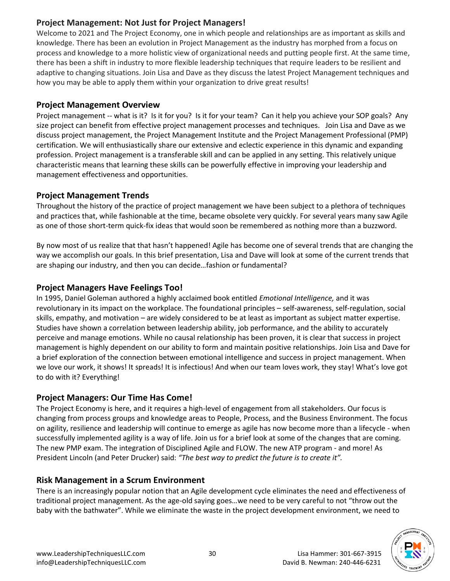### **Project Management: Not Just for Project Managers!**

Welcome to 2021 and The Project Economy, one in which people and relationships are as important as skills and knowledge. There has been an evolution in Project Management as the industry has morphed from a focus on process and knowledge to a more holistic view of organizational needs and putting people first. At the same time, there has been a shift in industry to more flexible leadership techniques that require leaders to be resilient and adaptive to changing situations. Join Lisa and Dave as they discuss the latest Project Management techniques and how you may be able to apply them within your organization to drive great results!

# **Project Management Overview**

Project management -- what is it? Is it for you? Is it for your team? Can it help you achieve your SOP goals? Any size project can benefit from effective project management processes and techniques. Join Lisa and Dave as we discuss project management, the Project Management Institute and the Project Management Professional (PMP) certification. We will enthusiastically share our extensive and eclectic experience in this dynamic and expanding profession. Project management is a transferable skill and can be applied in any setting. This relatively unique characteristic means that learning these skills can be powerfully effective in improving your leadership and management effectiveness and opportunities.

# **Project Management Trends**

Throughout the history of the practice of project management we have been subject to a plethora of techniques and practices that, while fashionable at the time, became obsolete very quickly. For several years many saw Agile as one of those short-term quick-fix ideas that would soon be remembered as nothing more than a buzzword.

By now most of us realize that that hasn't happened! Agile has become one of several trends that are changing the way we accomplish our goals. In this brief presentation, Lisa and Dave will look at some of the current trends that are shaping our industry, and then you can decide…fashion or fundamental?

# **Project Managers Have Feelings Too!**

In 1995, Daniel Goleman authored a highly acclaimed book entitled *Emotional Intelligence,* and it was revolutionary in its impact on the workplace. The foundational principles – self-awareness, self-regulation, social skills, empathy, and motivation – are widely considered to be at least as important as subject matter expertise. Studies have shown a correlation between leadership ability, job performance, and the ability to accurately perceive and manage emotions. While no causal relationship has been proven, it is clear that success in project management is highly dependent on our ability to form and maintain positive relationships. Join Lisa and Dave for a brief exploration of the connection between emotional intelligence and success in project management. When we love our work, it shows! It spreads! It is infectious! And when our team loves work, they stay! What's love got to do with it? Everything!

# **Project Managers: Our Time Has Come!**

The Project Economy is here, and it requires a high-level of engagement from all stakeholders. Our focus is changing from process groups and knowledge areas to People, Process, and the Business Environment. The focus on agility, resilience and leadership will continue to emerge as agile has now become more than a lifecycle - when successfully implemented agility is a way of life. Join us for a brief look at some of the changes that are coming. The new PMP exam. The integration of Disciplined Agile and FLOW. The new ATP program - and more! As President Lincoln (and Peter Drucker) said: *"The best way to predict the future is to create it".*

# **Risk Management in a Scrum Environment**

There is an increasingly popular notion that an Agile development cycle eliminates the need and effectiveness of traditional project management. As the age-old saying goes…we need to be very careful to not "throw out the baby with the bathwater". While we eliminate the waste in the project development environment, we need to

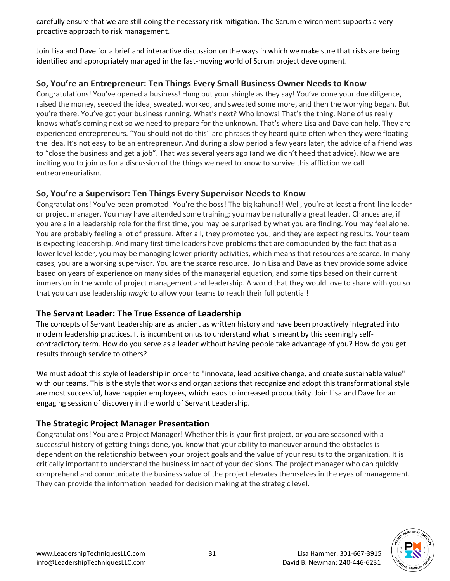carefully ensure that we are still doing the necessary risk mitigation. The Scrum environment supports a very proactive approach to risk management.

Join Lisa and Dave for a brief and interactive discussion on the ways in which we make sure that risks are being identified and appropriately managed in the fast-moving world of Scrum project development.

### **So, You're an Entrepreneur: Ten Things Every Small Business Owner Needs to Know**

Congratulations! You've opened a business! Hung out your shingle as they say! You've done your due diligence, raised the money, seeded the idea, sweated, worked, and sweated some more, and then the worrying began. But you're there. You've got your business running. What's next? Who knows! That's the thing. None of us really knows what's coming next so we need to prepare for the unknown. That's where Lisa and Dave can help. They are experienced entrepreneurs. "You should not do this" are phrases they heard quite often when they were floating the idea. It's not easy to be an entrepreneur. And during a slow period a few years later, the advice of a friend was to "close the business and get a job". That was several years ago (and we didn't heed that advice). Now we are inviting you to join us for a discussion of the things we need to know to survive this affliction we call entrepreneurialism.

### **So, You're a Supervisor: Ten Things Every Supervisor Needs to Know**

Congratulations! You've been promoted! You're the boss! The big kahuna!! Well, you're at least a front-line leader or project manager. You may have attended some training; you may be naturally a great leader. Chances are, if you are a in a leadership role for the first time, you may be surprised by what you are finding. You may feel alone. You are probably feeling a lot of pressure. After all, they promoted you, and they are expecting results. Your team is expecting leadership. And many first time leaders have problems that are compounded by the fact that as a lower level leader, you may be managing lower priority activities, which means that resources are scarce. In many cases, you are a working supervisor. You are the scarce resource. Join Lisa and Dave as they provide some advice based on years of experience on many sides of the managerial equation, and some tips based on their current immersion in the world of project management and leadership. A world that they would love to share with you so that you can use leadership *magic* to allow your teams to reach their full potential!

# **The Servant Leader: The True Essence of Leadership**

The concepts of Servant Leadership are as ancient as written history and have been proactively integrated into modern leadership practices. It is incumbent on us to understand what is meant by this seemingly selfcontradictory term. How do you serve as a leader without having people take advantage of you? How do you get results through service to others?

We must adopt this style of leadership in order to "innovate, lead positive change, and create sustainable value" with our teams. This is the style that works and organizations that recognize and adopt this transformational style are most successful, have happier employees, which leads to increased productivity. Join Lisa and Dave for an engaging session of discovery in the world of Servant Leadership.

# **The Strategic Project Manager Presentation**

Congratulations! You are a Project Manager! Whether this is your first project, or you are seasoned with a successful history of getting things done, you know that your ability to maneuver around the obstacles is dependent on the relationship between your project goals and the value of your results to the organization. It is critically important to understand the business impact of your decisions. The project manager who can quickly comprehend and communicate the business value of the project elevates themselves in the eyes of management. They can provide the information needed for decision making at the strategic level.